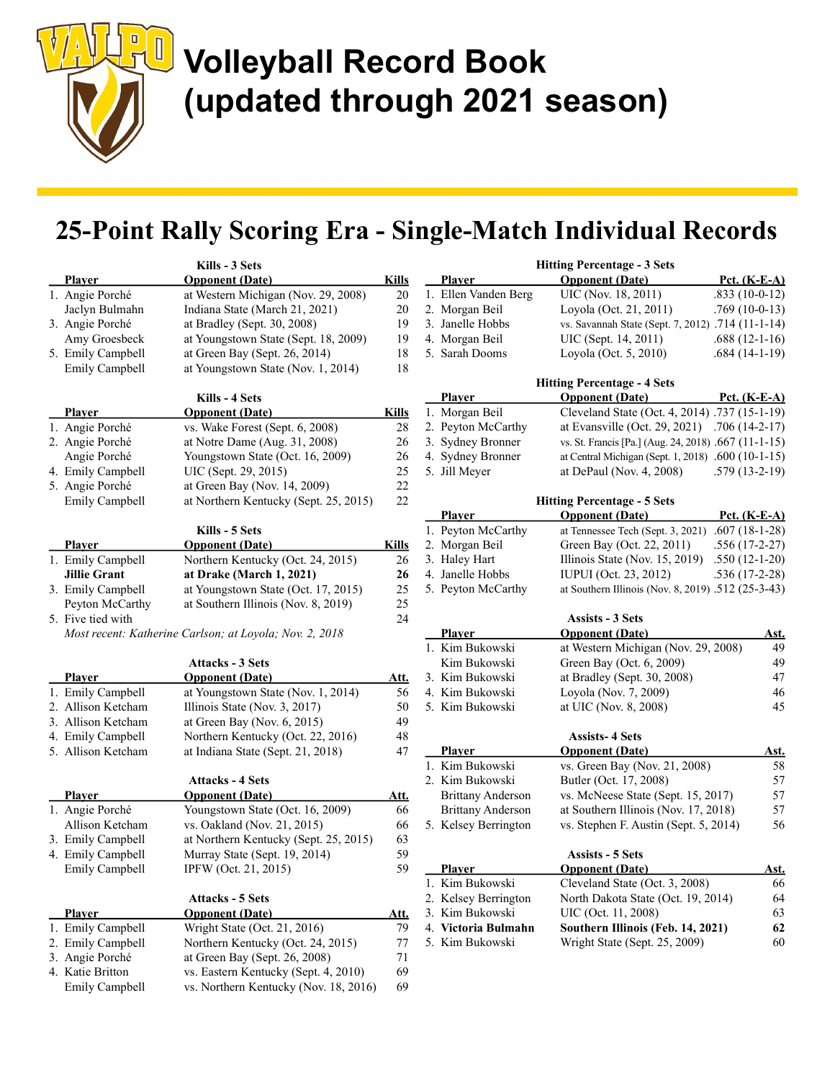

### 25-Point Rally Scoring Era - Single-Match Individual Records

|                     | Kills - 3 Sets                                          | <b>Hitting Percentage - 3 Sets</b> |  |                          |                                                      |                 |
|---------------------|---------------------------------------------------------|------------------------------------|--|--------------------------|------------------------------------------------------|-----------------|
| <b>Player</b>       | <b>Opponent</b> (Date)                                  | <b>Kills</b>                       |  | Player                   | <b>Opponent</b> (Date)                               | Pct. $(K-E-A)$  |
| 1. Angie Porché     | at Western Michigan (Nov. 29, 2008)                     | 20                                 |  | 1. Ellen Vanden Berg     | UIC (Nov. 18, 2011)                                  | $.833(10-0-12)$ |
| Jaclyn Bulmahn      | Indiana State (March 21, 2021)                          | 20                                 |  | 2. Morgan Beil           | Loyola (Oct. 21, 2011)                               | $.769(10-0-13)$ |
| 3. Angie Porché     | at Bradley (Sept. 30, 2008)                             | 19                                 |  | 3. Janelle Hobbs         | vs. Savannah State (Sept. 7, 2012) .714 (11-1-14)    |                 |
| Amy Groesbeck       | at Youngstown State (Sept. 18, 2009)                    | 19                                 |  | 4. Morgan Beil           | UIC (Sept. 14, 2011)                                 | $.688(12-1-16)$ |
| 5. Emily Campbell   | at Green Bay (Sept. 26, 2014)                           | 18                                 |  | 5. Sarah Dooms           | Loyola (Oct. 5, 2010)                                | $.684(14-1-19)$ |
| Emily Campbell      | at Youngstown State (Nov. 1, 2014)                      | 18                                 |  |                          |                                                      |                 |
|                     |                                                         |                                    |  |                          | <b>Hitting Percentage - 4 Sets</b>                   |                 |
|                     | Kills - 4 Sets                                          |                                    |  | <b>Player</b>            | <b>Opponent</b> (Date)                               | Pct. $(K-E-A)$  |
| <b>Player</b>       | <b>Opponent</b> (Date)                                  | <b>Kills</b>                       |  | 1. Morgan Beil           | Cleveland State (Oct. 4, 2014) .737 (15-1-19)        |                 |
| 1. Angie Porché     | vs. Wake Forest (Sept. 6, 2008)                         | 28                                 |  | 2. Peyton McCarthy       | at Evansville (Oct. 29, 2021)                        | $.706(14-2-17)$ |
| 2. Angie Porché     | at Notre Dame (Aug. 31, 2008)                           | 26                                 |  | 3. Sydney Bronner        | vs. St. Francis [Pa.] (Aug. 24, 2018) .667 (11-1-15) |                 |
| Angie Porché        | Youngstown State (Oct. 16, 2009)                        | 26                                 |  | 4. Sydney Bronner        | at Central Michigan (Sept. 1, 2018) .600 (10-1-15)   |                 |
| 4. Emily Campbell   | UIC (Sept. 29, 2015)                                    | 25                                 |  | 5. Jill Meyer            | at DePaul (Nov. 4, 2008)                             | $.579(13-2-19)$ |
| 5. Angie Porché     | at Green Bay (Nov. 14, 2009)                            | $22\,$                             |  |                          |                                                      |                 |
| Emily Campbell      | at Northern Kentucky (Sept. 25, 2015)                   | 22                                 |  |                          | <b>Hitting Percentage - 5 Sets</b>                   |                 |
|                     |                                                         |                                    |  | <b>Player</b>            | <b>Opponent</b> (Date)                               | Pct. $(K-E-A)$  |
|                     | Kills - 5 Sets                                          |                                    |  | 1. Peyton McCarthy       | at Tennessee Tech (Sept. 3, 2021)                    | $.607(18-1-28)$ |
| <b>Player</b>       | <b>Opponent</b> (Date)                                  | <b>Kills</b>                       |  | 2. Morgan Beil           | Green Bay (Oct. 22, 2011)                            | $.556(17-2-27)$ |
| 1. Emily Campbell   | Northern Kentucky (Oct. 24, 2015)                       | 26                                 |  | 3. Haley Hart            | Illinois State (Nov. 15, 2019)                       | $.550(12-1-20)$ |
| <b>Jillie Grant</b> | at Drake (March 1, 2021)                                | 26                                 |  | 4. Janelle Hobbs         | <b>IUPUI</b> (Oct. 23, 2012)                         | $.536(17-2-28)$ |
| 3. Emily Campbell   | at Youngstown State (Oct. 17, 2015)                     | 25                                 |  | 5. Peyton McCarthy       | at Southern Illinois (Nov. 8, 2019) .512 (25-3-43)   |                 |
| Peyton McCarthy     | at Southern Illinois (Nov. 8, 2019)                     | 25                                 |  |                          |                                                      |                 |
| 5. Five tied with   |                                                         | 24                                 |  |                          | <b>Assists - 3 Sets</b>                              |                 |
|                     | Most recent: Katherine Carlson; at Loyola; Nov. 2, 2018 |                                    |  | <b>Player</b>            | <b>Opponent</b> (Date)                               | Ast.            |
|                     |                                                         |                                    |  | 1. Kim Bukowski          | at Western Michigan (Nov. 29, 2008)                  | 49              |
|                     | <b>Attacks - 3 Sets</b>                                 |                                    |  | Kim Bukowski             | Green Bay (Oct. 6, 2009)                             | 49              |
| <b>Player</b>       | <b>Opponent</b> (Date)                                  | Att.                               |  | 3. Kim Bukowski          | at Bradley (Sept. 30, 2008)                          | 47              |
| 1. Emily Campbell   | at Youngstown State (Nov. 1, 2014)                      | 56                                 |  | 4. Kim Bukowski          | Loyola (Nov. 7, 2009)                                | 46              |
| 2. Allison Ketcham  | Illinois State (Nov. 3, 2017)                           | 50                                 |  | 5. Kim Bukowski          | at UIC (Nov. 8, 2008)                                | 45              |
| 3. Allison Ketcham  | at Green Bay (Nov. $6, 2015$ )                          | 49                                 |  |                          |                                                      |                 |
| 4. Emily Campbell   | Northern Kentucky (Oct. 22, 2016)                       | 48                                 |  |                          | <b>Assists-4 Sets</b>                                |                 |
| 5. Allison Ketcham  | at Indiana State (Sept. 21, 2018)                       | 47                                 |  | Player                   | <b>Opponent</b> (Date)                               | <u>Ast.</u>     |
|                     |                                                         |                                    |  | 1. Kim Bukowski          | vs. Green Bay (Nov. 21, 2008)                        | 58              |
|                     | <b>Attacks - 4 Sets</b>                                 |                                    |  | 2. Kim Bukowski          | Butler (Oct. 17, 2008)                               | 57              |
| <b>Player</b>       | <b>Opponent</b> (Date)                                  | <u>Att.</u>                        |  | <b>Brittany Anderson</b> | vs. McNeese State (Sept. 15, 2017)                   | 57              |
| 1. Angie Porché     | Youngstown State (Oct. 16, 2009)                        | 66                                 |  | <b>Brittany Anderson</b> | at Southern Illinois (Nov. 17, 2018)                 | 57              |
| Allison Ketcham     | vs. Oakland (Nov. 21, 2015)                             | 66                                 |  | 5. Kelsey Berrington     | vs. Stephen F. Austin (Sept. 5, 2014)                | 56              |
| 3. Emily Campbell   | at Northern Kentucky (Sept. 25, 2015)                   | 63                                 |  |                          |                                                      |                 |
| 4. Emily Campbell   | Murray State (Sept. 19, 2014)                           | 59                                 |  |                          | <b>Assists - 5 Sets</b>                              |                 |
| Emily Campbell      | IPFW (Oct. 21, 2015)                                    | 59                                 |  | <b>Player</b>            | <b>Opponent (Date)</b>                               | <u>Ast.</u>     |
|                     |                                                         |                                    |  | 1. Kim Bukowski          | Cleveland State (Oct. 3, 2008)                       | 66              |
|                     | <b>Attacks - 5 Sets</b>                                 |                                    |  | 2. Kelsey Berrington     | North Dakota State (Oct. 19, 2014)                   | 64              |
| Player              | <b>Opponent</b> (Date)                                  | <u>Att.</u>                        |  | 3. Kim Bukowski          | UIC (Oct. 11, 2008)                                  | 63              |
| 1. Emily Campbell   | Wright State (Oct. 21, 2016)                            | 79                                 |  | 4. Victoria Bulmahn      | Southern Illinois (Feb. 14, 2021)                    | 62              |
| 2. Emily Campbell   | Northern Kentucky (Oct. 24, 2015)                       | 77                                 |  | 5. Kim Bukowski          | Wright State (Sept. 25, 2009)                        | 60              |
| 3. Angie Porché     | at Green Bay (Sept. 26, 2008)                           | 71                                 |  |                          |                                                      |                 |
| 4. Katie Britton    | vs. Eastern Kentucky (Sept. 4, 2010)                    | 69                                 |  |                          |                                                      |                 |
| Emily Campbell      | vs. Northern Kentucky (Nov. 18, 2016)                   | 69                                 |  |                          |                                                      |                 |

 $\mathbf{r}$   $\mathbf{r}$   $\mathbf{r}$   $\mathbf{r}$   $\mathbf{r}$   $\mathbf{r}$   $\mathbf{r}$   $\mathbf{r}$   $\mathbf{r}$   $\mathbf{r}$   $\mathbf{r}$   $\mathbf{r}$   $\mathbf{r}$   $\mathbf{r}$   $\mathbf{r}$   $\mathbf{r}$   $\mathbf{r}$   $\mathbf{r}$   $\mathbf{r}$   $\mathbf{r}$   $\mathbf{r}$   $\mathbf{r}$   $\mathbf{r}$   $\mathbf{r}$   $\mathbf{$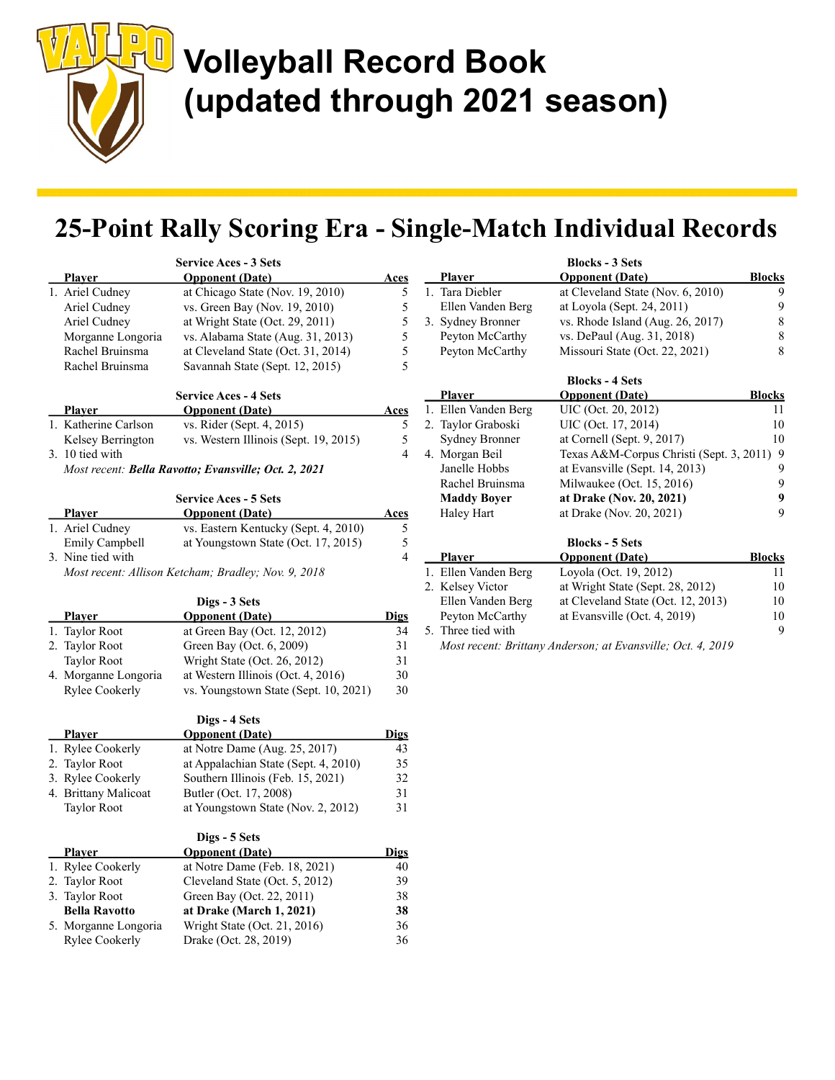

## 25-Point Rally Scoring Era - Single-Match Individual Records

|                                                             | <b>Service Aces - 3 Sets</b>                                                              |             |  |  |
|-------------------------------------------------------------|-------------------------------------------------------------------------------------------|-------------|--|--|
| Plaver                                                      | <b>Opponent</b> (Date)                                                                    | Aces        |  |  |
| 1. Ariel Cudney                                             | at Chicago State (Nov. 19, 2010)                                                          | 5           |  |  |
| Ariel Cudney                                                | vs. Green Bay (Nov. 19, 2010)                                                             | 5           |  |  |
| Ariel Cudney                                                | at Wright State (Oct. 29, 2011)                                                           | 5           |  |  |
| Morganne Longoria                                           | vs. Alabama State (Aug. 31, 2013)                                                         | 5           |  |  |
| Rachel Bruinsma                                             | at Cleveland State (Oct. 31, 2014)                                                        | 5           |  |  |
| Rachel Bruinsma                                             | Savannah State (Sept. 12, 2015)                                                           | 5           |  |  |
|                                                             | <b>Service Aces - 4 Sets</b>                                                              |             |  |  |
| Plaver                                                      | <b>Opponent</b> (Date)                                                                    | <u>Aces</u> |  |  |
| 1. Katherine Carlson                                        | vs. Rider (Sept. 4, 2015)                                                                 | 5           |  |  |
| Kelsey Berrington                                           | vs. Western Illinois (Sept. 19, 2015)                                                     | 5           |  |  |
| 3. 10 tied with                                             |                                                                                           | 4           |  |  |
| Most recent: <b>Bella Ravotto; Evansville; Oct. 2, 2021</b> |                                                                                           |             |  |  |
|                                                             | <b>Service Aces - 5 Sets</b>                                                              |             |  |  |
| Plaver                                                      | <b>Opponent</b> (Date)                                                                    | Aces        |  |  |
| 1. Ariel Cudney                                             | vs. Eastern Kentucky (Sept. 4, 2010)                                                      | 5           |  |  |
| $E_{\rm{max}}(1,1,0)$ . $E_{\rm{max}}(1,1,1)$               | $\sim$ $V_{\text{corr}}$ $\sim$ $t_{\text{corr}}$ $\sim$ $\sim$ $\sim$ $(0, 1, 17, 2015)$ | c           |  |  |

| <b>Player</b>                                       | <b>Opponent</b> (Date)               | Aces |  |
|-----------------------------------------------------|--------------------------------------|------|--|
| 1. Ariel Cudney                                     | vs. Eastern Kentucky (Sept. 4, 2010) | 5.   |  |
| Emily Campbell                                      | at Youngstown State (Oct. 17, 2015)  | 5.   |  |
| 3. Nine tied with                                   |                                      | 4    |  |
| Most recent: Allison Ketcham; Bradley; Nov. 9, 2018 |                                      |      |  |

Digs - 3 Sets Player **Opponent (Date)** Digs 1. Taylor Root at Green Bay (Oct. 12, 2012) 34 2. Taylor Root Green Bay (Oct. 6, 2009) 31 Taylor Root Wright State (Oct. 26, 2012) 31 4. Morganne Longoria at Western Illinois (Oct. 4, 2016) 30 Rylee Cookerly vs. Youngstown State (Sept. 10, 2021) 30

|                      | Digs - 4 Sets                        |             |
|----------------------|--------------------------------------|-------------|
| <b>Player</b>        | <b>Opponent</b> (Date)               | <b>Digs</b> |
| 1. Rylee Cookerly    | at Notre Dame (Aug. $25$ , $2017$ )  | 43          |
| 2. Taylor Root       | at Appalachian State (Sept. 4, 2010) | 35          |
| 3. Rylee Cookerly    | Southern Illinois (Feb. 15, 2021)    | 32          |
| 4. Brittany Malicoat | Butler (Oct. 17, 2008)               | 31          |
| <b>Taylor Root</b>   | at Youngstown State (Nov. 2, 2012)   | 31          |
|                      | Digs - 5 Sets                        |             |
| <b>Player</b>        | <b>Opponent</b> (Date)               | <b>Digs</b> |
| 1. Rylee Cookerly    | at Notre Dame (Feb. 18, 2021)        | 40          |
| 2. Taylor Root       | Cleveland State (Oct. 5, 2012)       | 39          |
| 3. Taylor Root       | Green Bay (Oct. 22, 2011)            | 38          |
| <b>Bella Ravotto</b> | at Drake (March 1, 2021)             | 38          |
| 5. Morganne Longoria | Wright State (Oct. 21, 2016)         | 36          |
| Rylee Cookerly       | Drake (Oct. 28, 2019)                | 36          |

| <b>Player</b>         | <b>Opponent</b> (Date)                                      | <b>Blocks</b> |
|-----------------------|-------------------------------------------------------------|---------------|
| 1. Tara Diebler       | at Cleveland State (Nov. 6, 2010)                           | 9             |
| Ellen Vanden Berg     | at Loyola (Sept. 24, 2011)                                  | 9             |
| 3. Sydney Bronner     | vs. Rhode Island (Aug. $26$ , $2017$ )                      | 8             |
| Peyton McCarthy       | vs. DePaul (Aug. 31, 2018)                                  | 8             |
| Peyton McCarthy       | Missouri State (Oct. 22, 2021)                              | 8             |
|                       | <b>Blocks - 4 Sets</b>                                      |               |
| <b>Player</b>         | <b>Opponent</b> (Date)                                      | <b>Blocks</b> |
| 1. Ellen Vanden Berg  | UIC (Oct. 20, 2012)                                         | 11            |
| 2. Taylor Graboski    | UIC (Oct. 17, 2014)                                         | 10            |
| <b>Sydney Bronner</b> | at Cornell (Sept. 9, 2017)                                  | 10            |
| 4. Morgan Beil        | Texas A&M-Corpus Christi (Sept. 3, 2011)                    | 9             |
| Janelle Hobbs         | at Evansville (Sept. 14, 2013)                              | 9             |
| Rachel Bruinsma       | Milwaukee (Oct. 15, 2016)                                   | 9             |
| <b>Maddy Boyer</b>    | at Drake (Nov. 20, 2021)                                    | 9             |
| Haley Hart            | at Drake (Nov. 20, 2021)                                    | 9             |
|                       | <b>Blocks - 5 Sets</b>                                      |               |
| Plaver                | <b>Opponent</b> (Date)                                      | <b>Blocks</b> |
| 1. Ellen Vanden Berg  | Loyola (Oct. 19, 2012)                                      | 11            |
| 2. Kelsey Victor      | at Wright State (Sept. 28, 2012)                            | 10            |
| Ellen Vanden Berg     | at Cleveland State (Oct. 12, 2013)                          | 10            |
| Peyton McCarthy       | at Evansville (Oct. 4, 2019)                                | 10            |
| 5. Three tied with    |                                                             | 9             |
|                       | Most recent: Brittany Anderson; at Evansville; Oct. 4, 2019 |               |

Blocks - 3 Sets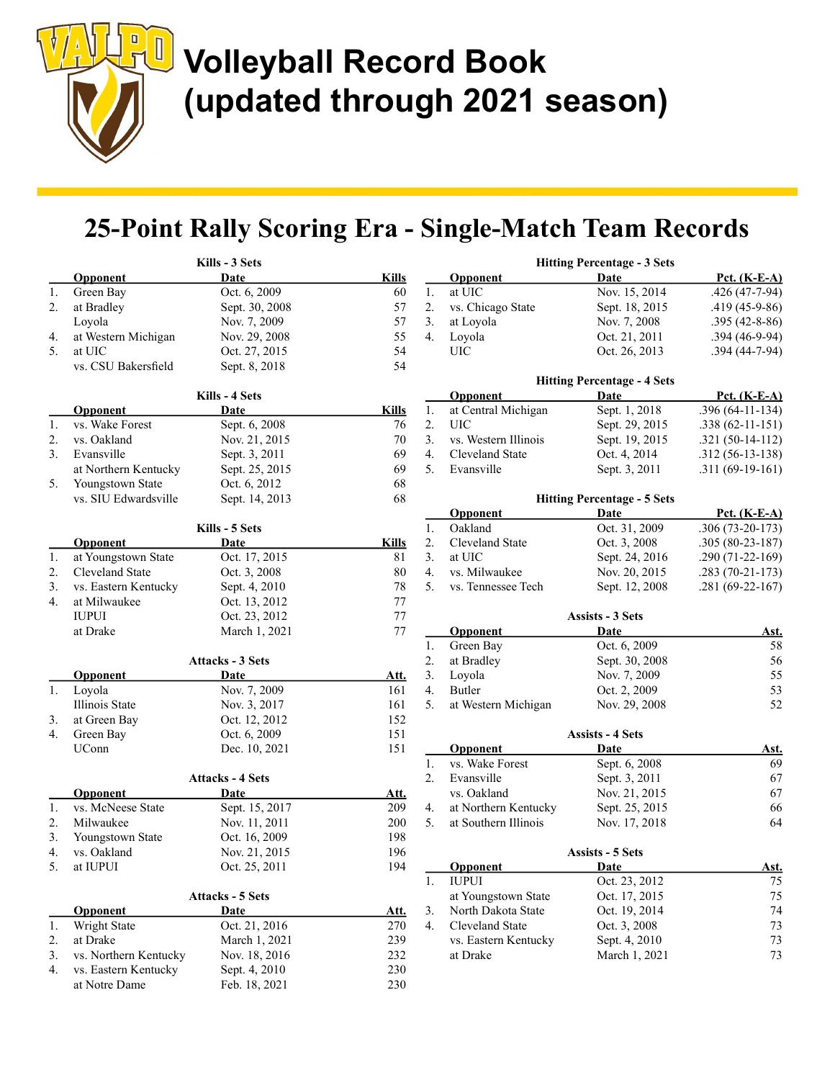$\begin{array}{|c|} \hline \end{array}$ 

## 25-Point Rally Scoring Era - Single-Match Team Records

|    |                       | Kills - 3 Sets          |              |    |                        | <b>Hitting Percentage - 3 Sets</b> |
|----|-----------------------|-------------------------|--------------|----|------------------------|------------------------------------|
|    | <b>Opponent</b>       | <b>Date</b>             | <b>Kills</b> |    | <b>Opponent</b>        | <b>Date</b>                        |
| 1. | Green Bay             | Oct. 6, 2009            | 60           | 1. | at UIC                 | Nov. 15, 2014                      |
| 2. | at Bradley            | Sept. 30, 2008          | 57           | 2. | vs. Chicago State      | Sept. 18, 2015                     |
|    | Loyola                | Nov. 7, 2009            | 57           | 3. | at Loyola              | Nov. 7, 2008                       |
| 4. | at Western Michigan   | Nov. 29, 2008           | 55           | 4. | Loyola                 | Oct. 21, 2011                      |
| 5. | at UIC                | Oct. 27, 2015           | 54           |    | <b>UIC</b>             | Oct. 26, 2013                      |
|    | vs. CSU Bakersfield   | Sept. 8, 2018           | 54           |    |                        |                                    |
|    |                       |                         |              |    |                        | <b>Hitting Percentage - 4 Sets</b> |
|    |                       | Kills - 4 Sets          |              |    | <b>Opponent</b>        | Date                               |
|    | <b>Opponent</b>       | Date                    | <b>Kills</b> | 1. | at Central Michigan    | Sept. 1, 2018                      |
| 1. | vs. Wake Forest       | Sept. 6, 2008           | 76           | 2. | <b>UIC</b>             | Sept. 29, 2015                     |
| 2. | vs. Oakland           | Nov. 21, 2015           | 70           | 3. | vs. Western Illinois   | Sept. 19, 2015                     |
| 3. | Evansville            | Sept. 3, 2011           | 69           | 4. | Cleveland State        | Oct. 4, 2014                       |
|    | at Northern Kentucky  | Sept. 25, 2015          | 69           | 5. | Evansville             | Sept. 3, 2011                      |
| 5. | Youngstown State      | Oct. 6, 2012            | 68           |    |                        |                                    |
|    | vs. SIU Edwardsville  | Sept. 14, 2013          | 68           |    |                        | <b>Hitting Percentage - 5 Sets</b> |
|    |                       |                         |              |    | <b>Opponent</b>        | Date                               |
|    |                       | Kills - 5 Sets          |              | 1. | Oakland                | Oct. 31, 2009                      |
|    | <b>Opponent</b>       | Date                    | <b>Kills</b> | 2. | Cleveland State        | Oct. 3, 2008                       |
| 1. | at Youngstown State   | Oct. 17, 2015           | 81           | 3. | at UIC                 | Sept. 24, 2016                     |
| 2. | Cleveland State       | Oct. 3, 2008            | 80           | 4. | vs. Milwaukee          | Nov. 20, 2015                      |
| 3. | vs. Eastern Kentucky  | Sept. 4, 2010           | 78           | 5. | vs. Tennessee Tech     | Sept. 12, 2008                     |
| 4. | at Milwaukee          | Oct. 13, 2012           | 77           |    |                        |                                    |
|    | <b>IUPUI</b>          | Oct. 23, 2012           | 77           |    |                        | <b>Assists - 3 Sets</b>            |
|    | at Drake              | March 1, 2021           | 77           |    | <b>Opponent</b>        | Date                               |
|    |                       |                         |              | 1. | Green Bay              | Oct. 6, 2009                       |
|    |                       | <b>Attacks - 3 Sets</b> |              | 2. | at Bradley             | Sept. 30, 2008                     |
|    | <b>Opponent</b>       | Date                    | <u>Att.</u>  | 3. | Loyola                 | Nov. 7, 2009                       |
| 1. | Loyola                | Nov. 7, 2009            | 161          | 4. | Butler                 | Oct. 2, 2009                       |
|    | Illinois State        | Nov. 3, 2017            | 161          | 5. | at Western Michigan    | Nov. 29, 2008                      |
| 3. | at Green Bay          | Oct. 12, 2012           | 152          |    |                        |                                    |
| 4. | Green Bay             | Oct. 6, 2009            | 151          |    |                        | <b>Assists - 4 Sets</b>            |
|    | UConn                 | Dec. 10, 2021           | 151          |    | <b>Opponent</b>        | Date                               |
|    |                       |                         |              | 1. | vs. Wake Forest        | Sept. 6, 2008                      |
|    |                       | <b>Attacks - 4 Sets</b> |              | 2. | Evansville             | Sept. 3, 2011                      |
|    | <b>Opponent</b>       | Date                    | Att.         |    | vs. Oakland            | Nov. 21, 2015                      |
| 1. | vs. McNeese State     | Sept. 15, 2017          | 209          | 4. | at Northern Kentucky   | Sept. 25, 2015                     |
| 2. | Milwaukee             | Nov. 11, 2011           | 200          | 5. | at Southern Illinois   | Nov. 17, 2018                      |
| 3. | Youngstown State      | Oct. 16, 2009           | 198          |    |                        |                                    |
| 4. | vs. Oakland           | Nov. 21, 2015           | 196          |    |                        | <b>Assists - 5 Sets</b>            |
| 5. | at IUPUI              | Oct. 25, 2011           | 194          |    | <b>Opponent</b>        | Date                               |
|    |                       |                         |              | 1. | <b>IUPUI</b>           | Oct. 23, 2012                      |
|    |                       | <b>Attacks - 5 Sets</b> |              |    | at Youngstown State    | Oct. 17, 2015                      |
|    | Opponent              | <b>Date</b>             | <u>Att.</u>  | 3. | North Dakota State     | Oct. 19, 2014                      |
| 1. | Wright State          | Oct. 21, 2016           | 270          | 4. | <b>Cleveland State</b> | Oct. 3, 2008                       |
| 2. | at Drake              | March 1, 2021           | 239          |    | vs. Eastern Kentucky   | Sept. 4, 2010                      |
| 3. | vs. Northern Kentucky | Nov. 18, 2016           | 232          |    | at Drake               | March 1, 2021                      |
| 4. | vs. Eastern Kentucky  | Sept. 4, 2010           | 230          |    |                        |                                    |
|    | at Notre Dame         | Feb. 18, 2021           | 230          |    |                        |                                    |

|          | <b>Opponent</b>                    | <u>Date</u>                        | Pct. (K-E-A)        |
|----------|------------------------------------|------------------------------------|---------------------|
| 1.       | at UIC                             | Nov. 15, 2014                      | $.426(47-7-94)$     |
| 2.       | vs. Chicago State                  | Sept. 18, 2015                     | $.419(45-9-86)$     |
| 3.       | at Loyola                          | Nov. 7, 2008                       | $.395(42 - 8 - 86)$ |
| 4.       | Loyola                             | Oct. 21, 2011                      | .394 (46-9-94)      |
|          | <b>UIC</b>                         | Oct. 26, 2013                      | $.394(44-7-94)$     |
|          |                                    | <b>Hitting Percentage - 4 Sets</b> |                     |
|          | <b>Opponent</b>                    | <u>Date</u>                        | <u>Pct. (K-E-A)</u> |
| 1.       | at Central Michigan                | Sept. 1, 2018                      | .396 (64-11-134)    |
| 2.       | UIC                                | Sept. 29, 2015                     | $.338(62-11-151)$   |
| 3.       | vs. Western Illinois               | Sept. 19, 2015                     | $.321(50-14-112)$   |
| 4.       | Cleveland State                    | Oct. 4, 2014                       | $.312(56-13-138)$   |
| 5.       | Evansville                         | Sept. 3, 2011                      | $.311(69-19-161)$   |
|          |                                    | <b>Hitting Percentage - 5 Sets</b> |                     |
|          | <b>Opponent</b>                    | <b>Date</b>                        | <b>Pct. (K-E-A)</b> |
| 1.       | Oakland                            | Oct. 31, 2009                      | $.306(73-20-173)$   |
| 2.       | Cleveland State                    | Oct. 3, 2008                       | $.305(80-23-187)$   |
| 3.       | at UIC                             | Sept. 24, 2016                     | $.290(71-22-169)$   |
| 4.       | vs. Milwaukee                      | Nov. 20, 2015                      | $.283(70-21-173)$   |
| 5.       | vs. Tennessee Tech                 | Sept. 12, 2008                     | $.281(69-22-167)$   |
|          |                                    | <b>Assists - 3 Sets</b>            |                     |
|          |                                    |                                    |                     |
| 1.       | <b>Opponent</b><br>Green Bay       | <u>Date</u><br>Oct. 6, 2009        | <u>Ast.</u><br>58   |
|          |                                    |                                    | 56                  |
| 2.<br>3. | at Bradley<br>Loyola               | Sept. 30, 2008<br>Nov. 7, 2009     | 55                  |
| 4.       | Butler                             | Oct. 2, 2009                       | 53                  |
| 5.       | at Western Michigan                | Nov. 29, 2008                      | 52                  |
|          |                                    |                                    |                     |
|          |                                    | <b>Assists - 4 Sets</b>            |                     |
| 1.       | <b>Opponent</b><br>vs. Wake Forest | Date<br>Sept. 6, 2008              | <u>Ast.</u><br>69   |
|          | Evansville                         |                                    |                     |
| 2.       | vs. Oakland                        | Sept. 3, 2011                      | 67                  |
|          |                                    | Nov. 21, 2015                      | 67                  |
| 4.       | at Northern Kentucky               | Sept. 25, 2015                     | 66                  |
| 5.       | at Southern Illinois               | Nov. 17, 2018                      | 64                  |
|          |                                    | <b>Assists - 5 Sets</b>            |                     |
|          | <b>Opponent</b>                    | <b>Date</b>                        | <u>Ast.</u>         |
| 1.       | <b>IUPUI</b>                       | Oct. 23, 2012                      | 75                  |
|          | at Youngstown State                | Oct. 17, 2015                      | 75                  |
| 3.       | North Dakota State                 | Oct. 19, 2014                      | 74                  |
| 4.       | Cleveland State                    | Oct. 3, 2008                       | 73                  |
|          | vs. Eastern Kentucky               | Sept. 4, 2010                      | 73                  |

March 1, 2021 73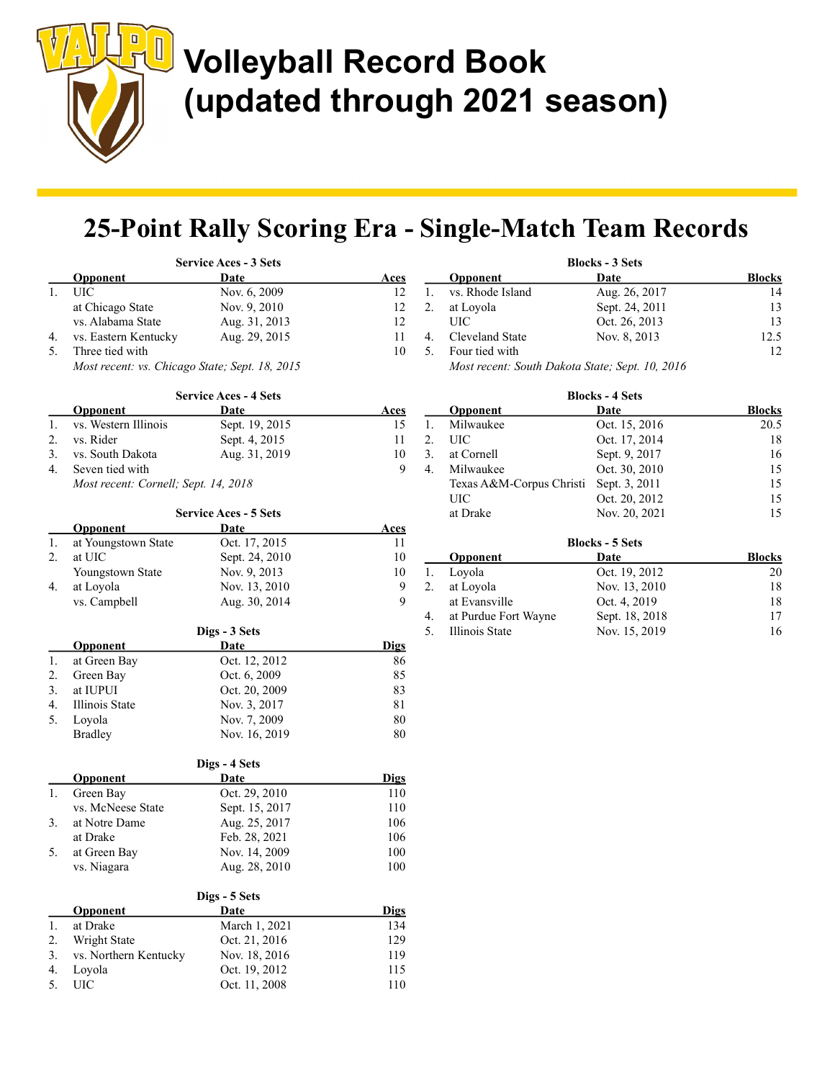$\begin{array}{c} \hline \end{array}$ 

# Volleyball Record Book (updated through 2021 season)

## 25-Point Rally Scoring Era - Single-Match Team Records

|      |                                                | <b>Service Aces - 3 Sets</b> |             |    |                         |
|------|------------------------------------------------|------------------------------|-------------|----|-------------------------|
|      | <b>Opponent</b>                                | Date                         | <u>Aces</u> |    | $\overline{\mathbf{O}}$ |
| $1.$ | UIC                                            | Nov. 6, 2009                 | 12          | 1. | VS.                     |
|      | at Chicago State                               | Nov. 9, 2010                 | 12          | 2. | at l                    |
|      | vs. Alabama State                              | Aug. 31, 2013                | 12          |    | Uŀ                      |
| 4.   | vs. Eastern Kentucky                           | Aug. 29, 2015                | 11          | 4. | Cl <sub>6</sub>         |
| 5.   | Three tied with                                |                              | 10          | 5. | Fo                      |
|      | Most recent: vs. Chicago State; Sept. 18, 2015 |                              |             |    | Мc                      |
|      |                                                | <b>Service Aces - 4 Sets</b> |             |    |                         |
|      | <b>Opponent</b>                                | <u>Date</u>                  | <u>Aces</u> |    | O <sub>p</sub>          |
| 1.   | vs. Western Illinois                           | Sept. 19, 2015               | 15          | 1. | Mi                      |
| 2.   | vs. Rider                                      | Sept. 4, 2015                | 11          | 2. | UI                      |
| 3.   | vs. South Dakota                               | Aug. 31, 2019                | 10          | 3. | at (                    |
| 4.   | Seven tied with                                |                              | 9           | 4. | Mi                      |
|      | Most recent: Cornell; Sept. 14, 2018           |                              |             |    | Tex                     |
|      |                                                |                              |             |    | UI                      |
|      |                                                | <b>Service Aces - 5 Sets</b> |             |    | at l                    |
|      | <b>Opponent</b>                                | <u>Date</u>                  | <u>Aces</u> |    |                         |
| 1.   | at Youngstown State                            | Oct. 17, 2015                | 11          |    |                         |
| 2.   | at UIC                                         | Sept. 24, 2010               | 10          |    | O <sub>p</sub>          |
|      | Youngstown State                               | Nov. 9, 2013                 | 10          | 1. | Lo                      |
| 4.   | at Loyola                                      | Nov. 13, 2010                | 9           | 2. | at l                    |
|      | vs. Campbell                                   | Aug. 30, 2014                | 9           |    | at l                    |
|      |                                                |                              |             | 4. | at l                    |
|      |                                                | Digs - 3 Sets                |             | 5. | Illi                    |
|      | <b>Opponent</b>                                | <u>Date</u>                  | <b>Digs</b> |    |                         |
| 1.   | at Green Bay                                   | Oct. 12, 2012                | 86          |    |                         |
| 2.   | Green Bay                                      | Oct. 6, 2009                 | 85          |    |                         |
| 3.   | at IUPUI                                       | Oct. 20, 2009                | 83          |    |                         |
| 4.   | Illinois State                                 | Nov. 3, 2017                 | $8\sqrt{1}$ |    |                         |
| 5.   | Loyola                                         | Nov. 7, 2009                 | 80          |    |                         |
|      | <b>Bradley</b>                                 | Nov. 16, 2019                | 80          |    |                         |
|      |                                                | Digs - 4 Sets                |             |    |                         |
|      | <b>Opponent</b>                                | <u>Date</u>                  | <b>Digs</b> |    |                         |
| 1.   | Green Bay                                      | Oct. 29, 2010                | $110\,$     |    |                         |
|      | vs. McNeese State                              | Sept. 15, 2017               | 110         |    |                         |
| 3.   | at Notre Dame                                  | Aug. 25, 2017                | 106         |    |                         |
|      | at Drake                                       | Feb. 28, 2021                | 106         |    |                         |
| 5.   | at Green Bay                                   | Nov. 14, 2009                | 100         |    |                         |
|      | vs. Niagara                                    | Aug. 28, 2010                | 100         |    |                         |
|      |                                                |                              |             |    |                         |
|      | <b>Opponent</b>                                | Digs - 5 Sets<br><b>Date</b> | <b>Digs</b> |    |                         |
| 1.   | at Drake                                       | March 1, 2021                | 134         |    |                         |
| 2.   | Wright State                                   | Oct. 21, 2016                | 129         |    |                         |
| 3.   | vs. Northern Kentucky                          | Nov. 18, 2016                | 119         |    |                         |
| 4.   | Loyola                                         | Oct. 19, 2012                | 115         |    |                         |
| 5.   | <b>UIC</b>                                     | Oct. 11, 2008                | 110         |    |                         |
|      |                                                |                              |             |    |                         |

|    | <b>Blocks - 3 Sets</b> |                                                 |               |  |  |
|----|------------------------|-------------------------------------------------|---------------|--|--|
|    | <b>Opponent</b>        | Date                                            | <b>Blocks</b> |  |  |
|    | vs. Rhode Island       | Aug. 26, 2017                                   | 14            |  |  |
| 2. | at Loyola              | Sept. 24, 2011                                  | 13            |  |  |
|    | UIC                    | Oct. 26, 2013                                   | 13            |  |  |
|    | Cleveland State        | Nov. 8, 2013                                    | 12.5          |  |  |
|    | Four tied with         |                                                 | 12            |  |  |
|    |                        | Most recent: South Dakota State; Sept. 10, 2016 |               |  |  |

|    | <b>Blocks - 4 Sets</b>   |                 |               |  |  |
|----|--------------------------|-----------------|---------------|--|--|
|    | Opponent                 | Date            | <b>Blocks</b> |  |  |
| 1. | Milwaukee                | Oct. 15, 2016   | 20.5          |  |  |
| 2. | UIC                      | Oct. 17, 2014   | 18            |  |  |
| 3. | at Cornell               | Sept. 9, 2017   | 16            |  |  |
| 4. | Milwaukee                | Oct. 30, 2010   | 15            |  |  |
|    | Texas A&M-Corpus Christi | Sept. 3, 2011   | 15            |  |  |
|    | UІС                      | Oct. 20, 2012   | 15            |  |  |
|    | at Drake                 | Nov. 20, 2021   | 15            |  |  |
|    |                          | Rlocks - 5 Sets |               |  |  |

|    | <b>Blocks - 5 Sets</b> |                |               |  |
|----|------------------------|----------------|---------------|--|
|    | <b>Opponent</b>        | Date           | <b>Blocks</b> |  |
| 1. | Loyola                 | Oct. 19, 2012  | 20            |  |
| 2. | at Loyola              | Nov. 13, 2010  | 18            |  |
|    | at Evansville          | Oct. 4, 2019   | 18            |  |
| 4. | at Purdue Fort Wayne   | Sept. 18, 2018 | 17            |  |
| 5. | Illinois State         | Nov. 15, 2019  | 16            |  |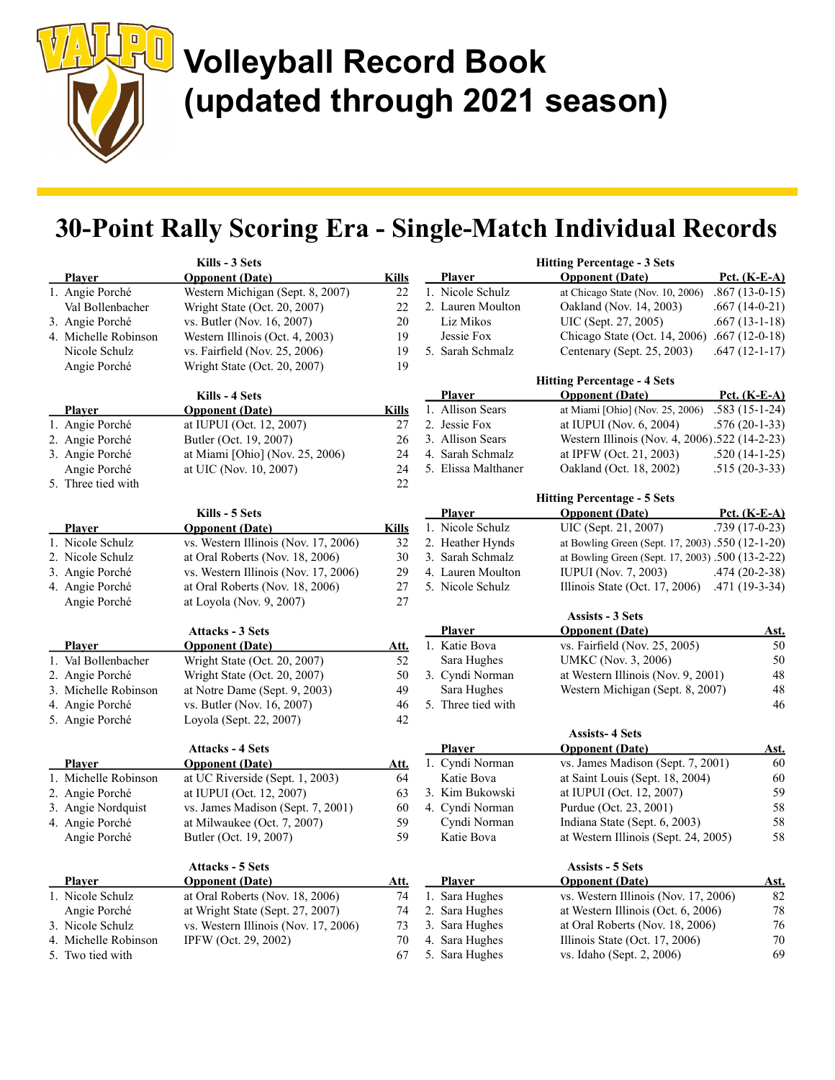# Volleyball Record Book (updated through 2021 season)

## 30-Point Rally Scoring Era - Single-Match Individual Records

|                      | Kills - 3 Sets                       |              |                     | <b>Hitting Percentage - 3 Sets</b>               |                      |
|----------------------|--------------------------------------|--------------|---------------------|--------------------------------------------------|----------------------|
| Player               | <b>Opponent</b> (Date)               | <b>Kills</b> | Player              | <b>Opponent</b> (Date)                           | Pct. $(K-E-A)$       |
| 1. Angie Porché      | Western Michigan (Sept. 8, 2007)     | 22           | 1. Nicole Schulz    | at Chicago State (Nov. 10, 2006)                 | $.867(13-0-15)$      |
| Val Bollenbacher     | Wright State (Oct. 20, 2007)         | 22           | 2. Lauren Moulton   | Oakland (Nov. 14, 2003)                          | $.667(14-0-21)$      |
| 3. Angie Porché      | vs. Butler (Nov. 16, 2007)           | 20           | Liz Mikos           | UIC (Sept. 27, 2005)                             | $.667(13-1-18)$      |
| 4. Michelle Robinson | Western Illinois (Oct. 4, 2003)      | 19           | Jessie Fox          | Chicago State (Oct. 14, 2006) .667 (12-0-18)     |                      |
| Nicole Schulz        | vs. Fairfield (Nov. 25, 2006)        | 19           | 5. Sarah Schmalz    | Centenary (Sept. 25, 2003)                       | .647 (12-1-17)       |
| Angie Porché         | Wright State (Oct. 20, 2007)         | 19           |                     |                                                  |                      |
|                      |                                      |              |                     | <b>Hitting Percentage - 4 Sets</b>               |                      |
|                      | Kills - 4 Sets                       |              | <b>Player</b>       | <b>Opponent</b> (Date)                           | Pct. $(K-E-A)$       |
| <b>Player</b>        | <b>Opponent</b> (Date)               | <b>Kills</b> | 1. Allison Sears    | at Miami [Ohio] (Nov. 25, 2006)                  | $.583(15-1-24)$      |
| 1. Angie Porché      | at IUPUI (Oct. 12, 2007)             | 27           | 2. Jessie Fox       | at IUPUI (Nov. 6, 2004)                          | $.576(20-1-33)$      |
| 2. Angie Porché      | Butler (Oct. 19, 2007)               | 26           | 3. Allison Sears    | Western Illinois (Nov. 4, 2006).522 (14-2-23)    |                      |
| 3. Angie Porché      | at Miami [Ohio] (Nov. 25, 2006)      | 24           | 4. Sarah Schmalz    | at IPFW (Oct. 21, 2003)                          | $.520(14-1-25)$      |
| Angie Porché         | at UIC (Nov. 10, 2007)               | 24           | 5. Elissa Malthaner | Oakland (Oct. 18, 2002)                          | $.515(20-3-33)$      |
| 5. Three tied with   |                                      | 22           |                     |                                                  |                      |
|                      |                                      |              |                     | <b>Hitting Percentage - 5 Sets</b>               |                      |
|                      | Kills - 5 Sets                       |              | <b>Player</b>       | <b>Opponent</b> (Date)                           | <u> Pct. (K-E-A)</u> |
| <b>Player</b>        | <b>Opponent</b> (Date)               | <b>Kills</b> | 1. Nicole Schulz    | UIC (Sept. 21, 2007)                             | $.739(17-0-23)$      |
| 1. Nicole Schulz     | vs. Western Illinois (Nov. 17, 2006) | 32           | 2. Heather Hynds    | at Bowling Green (Sept. 17, 2003) .550 (12-1-20) |                      |
| 2. Nicole Schulz     | at Oral Roberts (Nov. 18, 2006)      | 30           | 3. Sarah Schmalz    | at Bowling Green (Sept. 17, 2003) .500 (13-2-22) |                      |
| 3. Angie Porché      | vs. Western Illinois (Nov. 17, 2006) | 29           | 4. Lauren Moulton   | <b>IUPUI</b> (Nov. 7, 2003)                      | $.474(20-2-38)$      |
| 4. Angie Porché      | at Oral Roberts (Nov. 18, 2006)      | 27           | 5. Nicole Schulz    | Illinois State (Oct. 17, 2006)                   | .471 (19-3-34)       |
| Angie Porché         | at Loyola (Nov. 9, 2007)             | 27           |                     |                                                  |                      |
|                      |                                      |              |                     | <b>Assists - 3 Sets</b>                          |                      |
|                      | <b>Attacks - 3 Sets</b>              |              | <b>Player</b>       | <b>Opponent</b> (Date)                           | <u>Ast.</u>          |
| <b>Player</b>        | <b>Opponent</b> (Date)               | <u>Att.</u>  | 1. Katie Bova       | vs. Fairfield (Nov. 25, 2005)                    | 50                   |
| 1. Val Bollenbacher  | Wright State (Oct. 20, 2007)         | 52           | Sara Hughes         | UMKC (Nov. 3, 2006)                              | 50                   |
| 2. Angie Porché      | Wright State (Oct. 20, 2007)         | 50           | 3. Cyndi Norman     | at Western Illinois (Nov. 9, 2001)               | $48\,$               |
| 3. Michelle Robinson | at Notre Dame (Sept. 9, 2003)        | 49           | Sara Hughes         | Western Michigan (Sept. 8, 2007)                 | $48\,$               |
| 4. Angie Porché      | vs. Butler (Nov. 16, 2007)           | 46           | 5. Three tied with  |                                                  | 46                   |
| 5. Angie Porché      | Loyola (Sept. 22, 2007)              | 42           |                     |                                                  |                      |
|                      |                                      |              |                     | <b>Assists-4 Sets</b>                            |                      |
|                      | <b>Attacks - 4 Sets</b>              |              | <b>Player</b>       | <b>Opponent</b> (Date)                           | <u>Ast.</u>          |
| <b>Player</b>        | <b>Opponent</b> (Date)               | <u>Att.</u>  | 1. Cyndi Norman     | vs. James Madison (Sept. 7, 2001)                | 60                   |
| 1. Michelle Robinson | at UC Riverside (Sept. 1, 2003)      | 64           | Katie Bova          | at Saint Louis (Sept. 18, 2004)                  | 60<br>59             |
| 2. Angie Porché      | at IUPUI (Oct. 12, 2007)             | 63           | 3. Kim Bukowski     | at IUPUI (Oct. 12, 2007)                         | 58                   |
| 3. Angie Nordquist   | vs. James Madison (Sept. 7, 2001)    | 60           | 4. Cyndi Norman     | Purdue (Oct. 23, 2001)                           | 58                   |
| 4. Angie Porché      | at Milwaukee (Oct. 7, 2007)          | 59           | Cyndi Norman        | Indiana State (Sept. 6, 2003)                    |                      |
| Angie Porché         | Butler (Oct. 19, 2007)               | 59           | Katie Bova          | at Western Illinois (Sept. 24, 2005)             | 58                   |
|                      | <b>Attacks - 5 Sets</b>              |              |                     | <b>Assists - 5 Sets</b>                          |                      |
| <b>Player</b>        | <b>Opponent</b> (Date)               | <u>Att.</u>  | <b>Player</b>       | <b>Opponent (Date)</b>                           | <u>Ast.</u>          |
| 1. Nicole Schulz     | at Oral Roberts (Nov. 18, 2006)      | 74           | 1. Sara Hughes      | vs. Western Illinois (Nov. 17, 2006)             | 82                   |
| Angie Porché         | at Wright State (Sept. 27, 2007)     | 74           | 2. Sara Hughes      | at Western Illinois (Oct. 6, 2006)               | 78                   |
| 3. Nicole Schulz     | vs. Western Illinois (Nov. 17, 2006) | 73           | 3. Sara Hughes      | at Oral Roberts (Nov. 18, 2006)                  | 76                   |
| 4. Michelle Robinson | IPFW (Oct. 29, 2002)                 | 70           | 4. Sara Hughes      | Illinois State (Oct. 17, 2006)                   | 70                   |
| 5. Two tied with     |                                      | 67           | 5. Sara Hughes      | vs. Idaho (Sept. 2, 2006)                        | 69                   |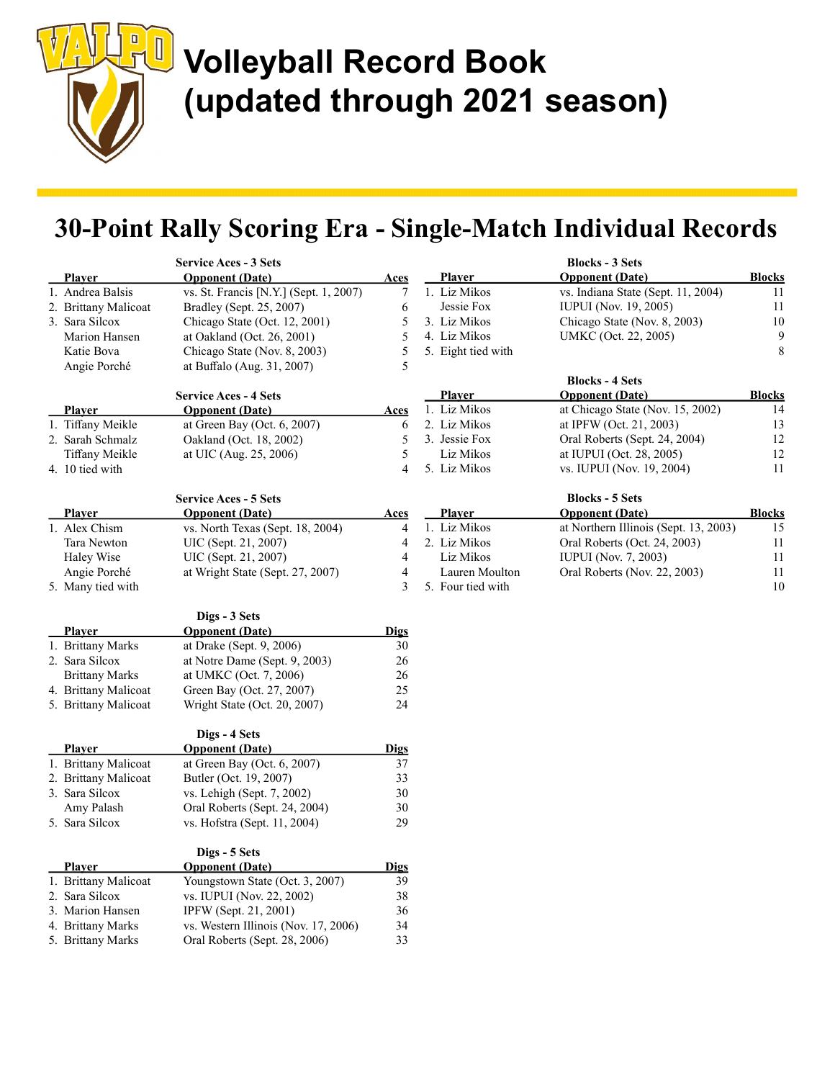

### 30-Point Rally Scoring Era - Single-Match Individual Records

| <b>Service Aces - 3 Sets</b> |                       |                                        |                | <b>Blocks - 3 Sets</b> |                                       |                  |
|------------------------------|-----------------------|----------------------------------------|----------------|------------------------|---------------------------------------|------------------|
|                              | <b>Player</b>         | <b>Opponent</b> (Date)                 | <u>Aces</u>    | <b>Player</b>          | <b>Opponent</b> (Date)                | <b>Blocks</b>    |
|                              | 1. Andrea Balsis      | vs. St. Francis [N.Y.] (Sept. 1, 2007) | 7              | 1. Liz Mikos           | vs. Indiana State (Sept. 11, 2004)    | 11               |
|                              | 2. Brittany Malicoat  | Bradley (Sept. 25, 2007)               | 6              | Jessie Fox             | <b>IUPUI</b> (Nov. 19, 2005)          | 11               |
|                              | 3. Sara Silcox        | Chicago State (Oct. 12, 2001)          | 5              | 3. Liz Mikos           | Chicago State (Nov. 8, 2003)          | 10               |
|                              | Marion Hansen         | at Oakland (Oct. 26, 2001)             | 5              | 4. Liz Mikos           | UMKC (Oct. 22, 2005)                  | $\boldsymbol{9}$ |
|                              | Katie Bova            | Chicago State (Nov. 8, 2003)           | 5              | 5. Eight tied with     |                                       | 8                |
|                              | Angie Porché          | at Buffalo (Aug. 31, 2007)             | 5              |                        |                                       |                  |
|                              |                       |                                        |                |                        | <b>Blocks - 4 Sets</b>                |                  |
|                              |                       | <b>Service Aces - 4 Sets</b>           |                | Player                 | <b>Opponent</b> (Date)                | <b>Blocks</b>    |
|                              | Player                | <b>Opponent</b> (Date)                 | <b>Aces</b>    | 1. Liz Mikos           | at Chicago State (Nov. 15, 2002)      | 14               |
|                              | 1. Tiffany Meikle     | at Green Bay (Oct. 6, 2007)            | 6              | 2. Liz Mikos           | at IPFW (Oct. 21, 2003)               | 13               |
|                              | 2. Sarah Schmalz      | Oakland (Oct. 18, 2002)                | 5              | 3. Jessie Fox          | Oral Roberts (Sept. 24, 2004)         | 12               |
|                              | Tiffany Meikle        | at UIC (Aug. 25, 2006)                 | 5              | Liz Mikos              | at IUPUI (Oct. 28, 2005)              | 12               |
|                              | 4. 10 tied with       |                                        | $\overline{4}$ | 5. Liz Mikos           | vs. IUPUI (Nov. 19, 2004)             | 11               |
|                              |                       |                                        |                |                        |                                       |                  |
|                              |                       | <b>Service Aces - 5 Sets</b>           |                |                        | <b>Blocks - 5 Sets</b>                |                  |
|                              | <b>Player</b>         | <b>Opponent</b> (Date)                 | Aces           | Player                 | <b>Opponent</b> (Date)                | <b>Blocks</b>    |
|                              | 1. Alex Chism         | vs. North Texas (Sept. 18, 2004)       | 4              | 1. Liz Mikos           | at Northern Illinois (Sept. 13, 2003) | 15               |
|                              | Tara Newton           | UIC (Sept. 21, 2007)                   | 4              | 2. Liz Mikos           | Oral Roberts (Oct. 24, 2003)          | 11               |
|                              | Haley Wise            | UIC (Sept. 21, 2007)                   | 4              | Liz Mikos              | <b>IUPUI</b> (Nov. 7, 2003)           | 11               |
|                              | Angie Porché          | at Wright State (Sept. 27, 2007)       | 4              | Lauren Moulton         | Oral Roberts (Nov. 22, 2003)          | 11               |
|                              |                       |                                        | 3              | 5. Four tied with      |                                       | 10               |
|                              | 5. Many tied with     |                                        |                |                        |                                       |                  |
|                              |                       | Digs - 3 Sets                          |                |                        |                                       |                  |
|                              | <b>Player</b>         | <b>Opponent</b> (Date)                 | <b>Digs</b>    |                        |                                       |                  |
|                              | 1. Brittany Marks     | at Drake (Sept. 9, 2006)               | 30             |                        |                                       |                  |
|                              | 2. Sara Silcox        | at Notre Dame (Sept. 9, 2003)          | 26             |                        |                                       |                  |
|                              |                       |                                        | 26             |                        |                                       |                  |
|                              | <b>Brittany Marks</b> | at UMKC (Oct. 7, 2006)                 | 25             |                        |                                       |                  |
|                              | 4. Brittany Malicoat  | Green Bay (Oct. 27, 2007)              |                |                        |                                       |                  |
|                              | 5. Brittany Malicoat  | Wright State (Oct. 20, 2007)           | 24             |                        |                                       |                  |
|                              |                       | Digs - 4 Sets                          |                |                        |                                       |                  |
|                              | <b>Player</b>         | <b>Opponent</b> (Date)                 | <u>Digs</u>    |                        |                                       |                  |
|                              | 1. Brittany Malicoat  | at Green Bay (Oct. 6, 2007)            | 37             |                        |                                       |                  |
|                              | 2. Brittany Malicoat  | Butler (Oct. 19, 2007)                 | 33             |                        |                                       |                  |
|                              | 3. Sara Silcox        | vs. Lehigh (Sept. 7, 2002)             | 30             |                        |                                       |                  |
|                              | Amy Palash            | Oral Roberts (Sept. 24, 2004)          | 30             |                        |                                       |                  |
|                              | 5. Sara Silcox        | vs. Hofstra (Sept. 11, 2004)           | 29             |                        |                                       |                  |
|                              |                       |                                        |                |                        |                                       |                  |
|                              |                       | Digs - 5 Sets                          |                |                        |                                       |                  |
|                              | <b>Player</b>         | <b>Onnonent</b> (Date)                 | <b>Digs</b>    |                        |                                       |                  |
|                              | 1. Brittany Malicoat  | Youngstown State (Oct. 3, 2007)        | 39             |                        |                                       |                  |
|                              | 2. Sara Silcox        | vs. IUPUI (Nov. 22, 2002)              | 38             |                        |                                       |                  |
|                              | 3. Marion Hansen      | IPFW (Sept. 21, 2001)                  | 36             |                        |                                       |                  |
|                              | 4. Brittany Marks     | vs. Western Illinois (Nov. 17, 2006)   | 34             |                        |                                       |                  |
|                              | 5. Brittany Marks     | Oral Roberts (Sept. 28, 2006)          | 33             |                        |                                       |                  |
|                              |                       |                                        |                |                        |                                       |                  |
|                              |                       |                                        |                |                        |                                       |                  |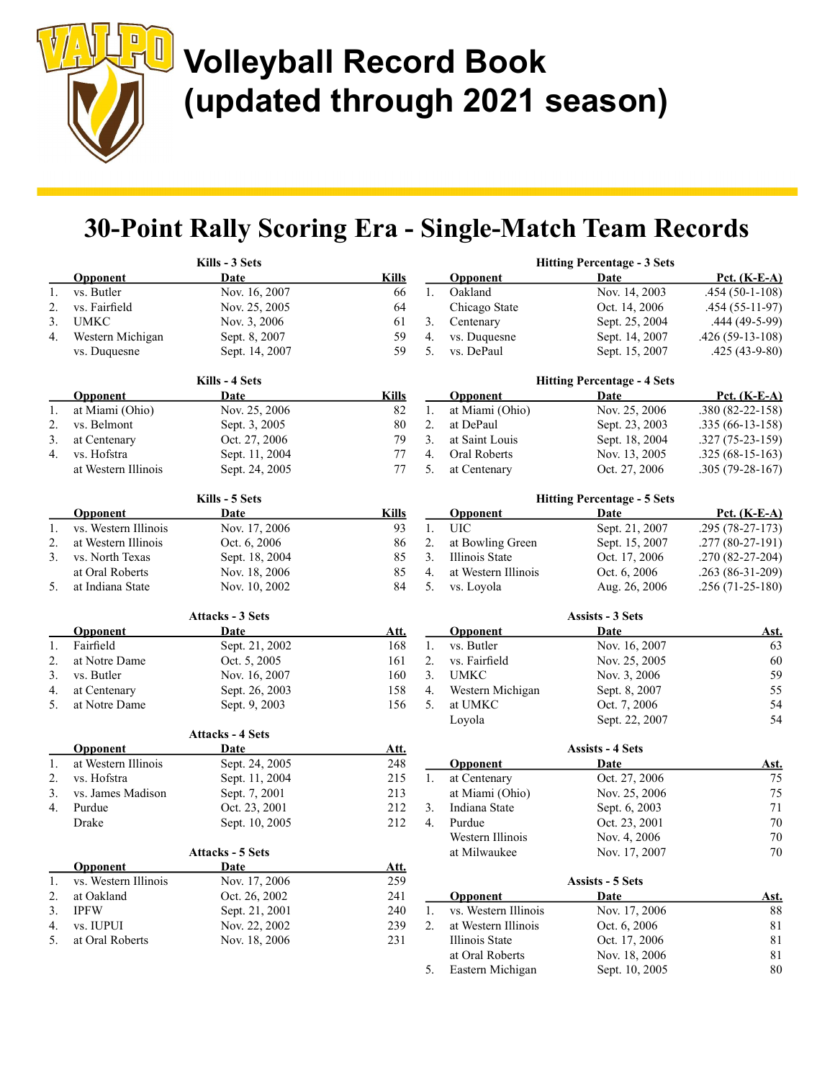$\begin{matrix} \rule{0pt}{2ex} \rule{0pt}{2ex} \rule{0pt}{2ex} \rule{0pt}{2ex} \rule{0pt}{2ex} \rule{0pt}{2ex} \rule{0pt}{2ex} \rule{0pt}{2ex} \rule{0pt}{2ex} \rule{0pt}{2ex} \rule{0pt}{2ex} \rule{0pt}{2ex} \rule{0pt}{2ex} \rule{0pt}{2ex} \rule{0pt}{2ex} \rule{0pt}{2ex} \rule{0pt}{2ex} \rule{0pt}{2ex} \rule{0pt}{2ex} \rule{0pt}{2ex} \rule{0pt}{2ex} \rule{0pt}{2ex} \rule{0pt}{2ex} \rule{0pt}{2ex$ 

### 30-Point Rally Scoring Era - Single-Match Team Records

|    |                      | Kills - 3 Sets          |              |    |                      | <b>Hitting Percentage - 3 Sets</b> |                     |
|----|----------------------|-------------------------|--------------|----|----------------------|------------------------------------|---------------------|
|    | Opponent             | Date                    | <b>Kills</b> |    | <b>Opponent</b>      | Date                               | Pct. (K-E-A)        |
| 1. | vs. Butler           | Nov. 16, 2007           | 66           | 1. | Oakland              | Nov. 14, 2003                      | $.454(50-1-108)$    |
| 2. | vs. Fairfield        | Nov. 25, 2005           | 64           |    | Chicago State        | Oct. 14, 2006                      | $.454(55-11-97)$    |
| 3. | <b>UMKC</b>          | Nov. 3, 2006            | 61           | 3. | Centenary            | Sept. 25, 2004                     | .444 (49-5-99)      |
| 4. | Western Michigan     | Sept. 8, 2007           | 59           | 4. | vs. Duquesne         | Sept. 14, 2007                     | $.426(59-13-108)$   |
|    | vs. Duquesne         | Sept. 14, 2007          | 59           | 5. | vs. DePaul           | Sept. 15, 2007                     | $.425(43-9-80)$     |
|    |                      | Kills - 4 Sets          |              |    |                      | <b>Hitting Percentage - 4 Sets</b> |                     |
|    | <b>Opponent</b>      | Date                    | <b>Kills</b> |    | <b>Opponent</b>      | Date                               | <u>Pct. (K-E-A)</u> |
| 1. | at Miami (Ohio)      | Nov. 25, 2006           | 82           | 1. | at Miami (Ohio)      | Nov. 25, 2006                      | .380 (82-22-158)    |
| 2. | vs. Belmont          | Sept. 3, 2005           | $80\,$       | 2. | at DePaul            | Sept. 23, 2003                     | $.335(66-13-158)$   |
| 3. | at Centenary         | Oct. 27, 2006           | 79           | 3. | at Saint Louis       | Sept. 18, 2004                     | $.327(75-23-159)$   |
| 4. | vs. Hofstra          | Sept. 11, 2004          | $77 \,$      | 4. | Oral Roberts         | Nov. 13, 2005                      | $.325(68-15-163)$   |
|    | at Western Illinois  | Sept. 24, 2005          | 77           | 5. | at Centenary         | Oct. 27, 2006                      | $.305(79-28-167)$   |
|    |                      | Kills - 5 Sets          |              |    |                      | <b>Hitting Percentage - 5 Sets</b> |                     |
|    | <b>Opponent</b>      | Date                    | <b>Kills</b> |    | <b>Opponent</b>      | Date                               | Pct. $(K-E-A)$      |
| 1. | vs. Western Illinois | Nov. 17, 2006           | 93           | 1. | <b>UIC</b>           | Sept. 21, 2007                     | $.295(78-27-173)$   |
| 2. | at Western Illinois  | Oct. 6, 2006            | 86           | 2. | at Bowling Green     | Sept. 15, 2007                     | .277 (80-27-191)    |
| 3. | vs. North Texas      | Sept. 18, 2004          | 85           | 3. | Illinois State       | Oct. 17, 2006                      | .270 (82-27-204)    |
|    | at Oral Roberts      | Nov. 18, 2006           | 85           | 4. | at Western Illinois  | Oct. 6, 2006                       | .263 (86-31-209)    |
| 5. | at Indiana State     | Nov. 10, 2002           | 84           | 5. | vs. Loyola           | Aug. 26, 2006                      | $.256(71-25-180)$   |
|    |                      | <b>Attacks - 3 Sets</b> |              |    |                      | <b>Assists - 3 Sets</b>            |                     |
|    | <b>Opponent</b>      | Date                    | <u>Att.</u>  |    | Opponent             | Date                               | Ast.                |
| 1. | Fairfield            | Sept. 21, 2002          | 168          | 1. | vs. Butler           | Nov. 16, 2007                      | 63                  |
| 2. | at Notre Dame        | Oct. 5, 2005            | 161          | 2. | vs. Fairfield        | Nov. 25, 2005                      | 60                  |
| 3. | vs. Butler           | Nov. 16, 2007           | 160          | 3. | <b>UMKC</b>          | Nov. 3, 2006                       | 59                  |
| 4. | at Centenary         | Sept. 26, 2003          | 158          | 4. | Western Michigan     | Sept. 8, 2007                      | 55                  |
| 5. | at Notre Dame        | Sept. 9, 2003           | 156          | 5. | at UMKC              | Oct. 7, 2006                       | 54                  |
|    |                      |                         |              |    | Loyola               | Sept. 22, 2007                     | 54                  |
|    |                      | <b>Attacks - 4 Sets</b> |              |    |                      |                                    |                     |
|    | Opponent             | Date                    | Att.         |    |                      | <b>Assists - 4 Sets</b>            |                     |
| 1. | at Western Illinois  | Sept. 24, 2005          | 248          |    | <b>Opponent</b>      | Date                               | <u>Ast.</u>         |
| 2. | vs. Hofstra          | Sept. 11, 2004          | 215          | 1. | at Centenary         | Oct. 27, 2006                      | 75                  |
| 3. | vs. James Madison    | Sept. 7, 2001           | 213          |    | at Miami (Ohio)      | Nov. 25, 2006                      | 75                  |
| 4. | Purdue               | Oct. 23, 2001           | 212          | 3. | Indiana State        | Sept. 6, 2003                      | 71                  |
|    | Drake                | Sept. 10, 2005          | 212          | 4. | Purdue               | Oct. 23, 2001                      | 70                  |
|    |                      |                         |              |    | Western Illinois     | Nov. 4, 2006                       | 70                  |
|    |                      | <b>Attacks - 5 Sets</b> |              |    | at Milwaukee         | Nov. 17, 2007                      | 70                  |
|    | <b>Opponent</b>      | <b>Date</b>             | Att.         |    |                      |                                    |                     |
| 1. | vs. Western Illinois | Nov. 17, 2006           | 259          |    |                      | <b>Assists - 5 Sets</b>            |                     |
| 2. | at Oakland           | Oct. 26, 2002           | 241          |    | Opponent             | Date                               | <u>Ast.</u>         |
| 3. | <b>IPFW</b>          | Sept. 21, 2001          | 240          | 1. | vs. Western Illinois | Nov. 17, 2006                      | 88                  |
| 4. | vs. IUPUI            | Nov. 22, 2002           | 239          | 2. | at Western Illinois  | Oct. 6, 2006                       | $8\sqrt{1}$         |
| 5. | at Oral Roberts      | Nov. 18, 2006           | 231          |    | Illinois State       | Oct. 17, 2006                      | 81                  |
|    |                      |                         |              |    | at Oral Roberts      | Nov. 18, 2006                      | 81                  |
|    |                      |                         |              | 5. | Eastern Michigan     | Sept. 10, 2005                     | 80                  |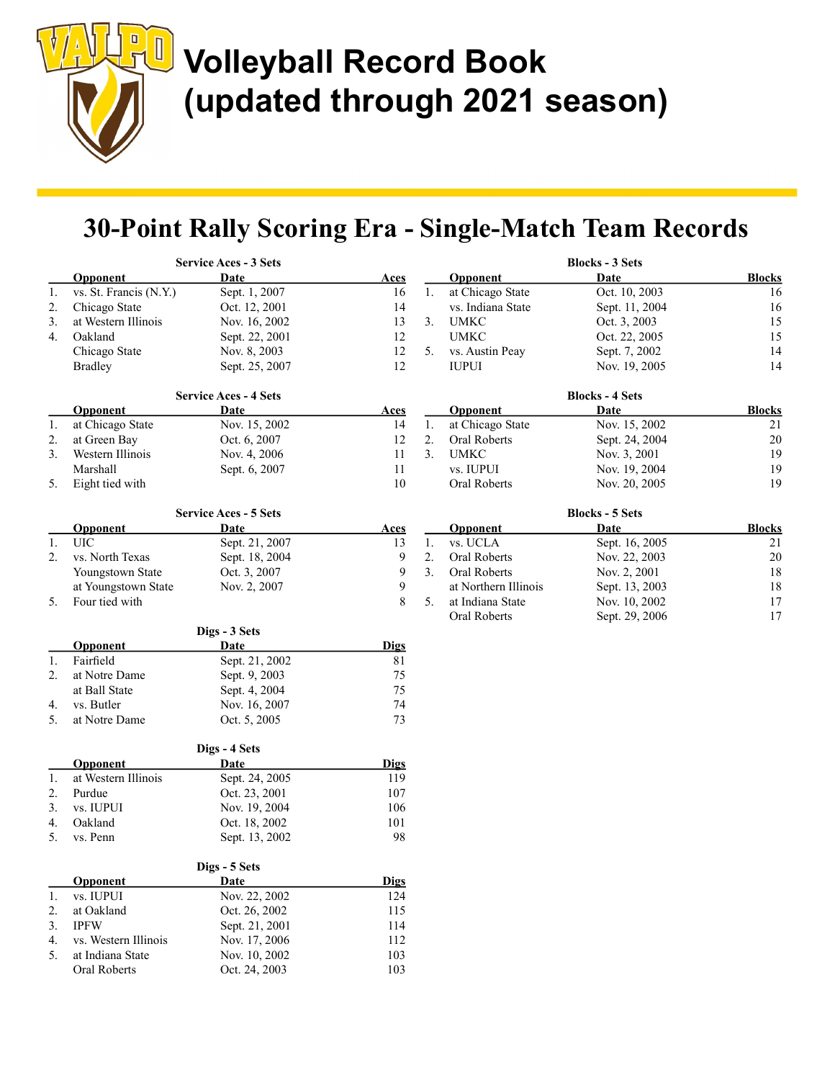$\begin{array}{|c|c|} \hline \rule{0pt}{12pt} \rule{0pt}{2.5pt} \rule{0pt}{2.5pt} \rule{0pt}{2.5pt} \rule{0pt}{2.5pt} \rule{0pt}{2.5pt} \rule{0pt}{2.5pt} \rule{0pt}{2.5pt} \rule{0pt}{2.5pt} \rule{0pt}{2.5pt} \rule{0pt}{2.5pt} \rule{0pt}{2.5pt} \rule{0pt}{2.5pt} \rule{0pt}{2.5pt} \rule{0pt}{2.5pt} \rule{0pt}{2.5pt} \rule{0pt}{2.5pt} \rule{0pt}{2.5pt} \rule{0pt}{2.5$ 

# Volleyball Record Book (updated through 2021 season)

## 30-Point Rally Scoring Era - Single-Match Team Records

|    |                                 | <b>Service Aces - 3 Sets</b> |              |    |                      | <b>Blocks - 3 Sets</b> |               |
|----|---------------------------------|------------------------------|--------------|----|----------------------|------------------------|---------------|
|    | Opponent                        | Date                         | Aces         |    | <b>Opponent</b>      | Date                   | <b>Blocks</b> |
| 1. | vs. St. Francis (N.Y.)          | Sept. 1, 2007                | 16           | 1. | at Chicago State     | Oct. 10, 2003          | 16            |
| 2. | Chicago State                   | Oct. 12, 2001                | 14           |    | vs. Indiana State    | Sept. 11, 2004         | 16            |
| 3. | at Western Illinois             | Nov. 16, 2002                | 13           | 3. | <b>UMKC</b>          | Oct. 3, 2003           | 15            |
| 4. | Oakland                         | Sept. 22, 2001               | 12           |    | <b>UMKC</b>          | Oct. 22, 2005          | 15            |
|    | Chicago State                   | Nov. 8, 2003                 | 12           | 5. | vs. Austin Peay      | Sept. 7, 2002          | 14            |
|    | <b>Bradley</b>                  | Sept. 25, 2007               | 12           |    | <b>IUPUI</b>         | Nov. 19, 2005          | 14            |
|    |                                 | <b>Service Aces - 4 Sets</b> |              |    |                      | <b>Blocks - 4 Sets</b> |               |
|    | <b>Opponent</b>                 | Date                         | <b>Aces</b>  |    | Opponent             | Date                   | <b>Blocks</b> |
| 1. | at Chicago State                | Nov. 15, 2002                | 14           | 1. | at Chicago State     | Nov. 15, 2002          | 21            |
| 2. | at Green Bay                    | Oct. 6, 2007                 | 12           | 2. | Oral Roberts         | Sept. 24, 2004         | $20\,$        |
| 3. | Western Illinois                | Nov. 4, 2006                 | 11           | 3. | <b>UMKC</b>          | Nov. 3, 2001           | 19            |
|    | Marshall                        | Sept. 6, 2007                | 11           |    | vs. IUPUI            | Nov. 19, 2004          | 19            |
| 5. | Eight tied with                 |                              | $10\,$       |    | Oral Roberts         | Nov. 20, 2005          | 19            |
|    |                                 | <b>Service Aces - 5 Sets</b> |              |    |                      | <b>Blocks - 5 Sets</b> |               |
|    | <b>Opponent</b>                 | Date                         | <b>Aces</b>  |    | Opponent             | Date                   | <b>Blocks</b> |
| 1. | <b>UIC</b>                      | Sept. 21, 2007               | 13           | 1. | vs. UCLA             | Sept. 16, 2005         | 21            |
| 2. | vs. North Texas                 | Sept. 18, 2004               | $\mathbf{9}$ | 2. | Oral Roberts         | Nov. 22, 2003          | $20\,$        |
|    | Youngstown State                | Oct. 3, 2007                 | 9            | 3. | Oral Roberts         | Nov. 2, 2001           | 18            |
|    | at Youngstown State             | Nov. 2, 2007                 | 9            |    | at Northern Illinois | Sept. 13, 2003         | 18            |
| 5. | Four tied with                  |                              | 8            | 5. | at Indiana State     | Nov. 10, 2002          | 17            |
|    |                                 |                              |              |    | <b>Oral Roberts</b>  | Sept. 29, 2006         | 17            |
|    |                                 | Digs - 3 Sets                |              |    |                      |                        |               |
|    | <b>Opponent</b>                 | Date                         | <b>Digs</b>  |    |                      |                        |               |
| 1. | Fairfield                       | Sept. 21, 2002               | 81           |    |                      |                        |               |
| 2. | at Notre Dame                   | Sept. 9, 2003                | 75           |    |                      |                        |               |
|    | at Ball State<br>vs. Butler     | Sept. 4, 2004                | 75<br>74     |    |                      |                        |               |
| 4. |                                 | Nov. 16, 2007                |              |    |                      |                        |               |
| 5. | at Notre Dame                   | Oct. 5, 2005                 | 73           |    |                      |                        |               |
|    |                                 | Digs - 4 Sets                |              |    |                      |                        |               |
|    | Opponent<br>at Western Illinois | Date                         | <b>Digs</b>  |    |                      |                        |               |
| 1. | Purdue                          | Sept. 24, 2005               | 119          |    |                      |                        |               |
| 2. |                                 | Oct. 23, 2001                | 107          |    |                      |                        |               |
| 3. | vs. IUPUI                       | Nov. 19, 2004                | 106          |    |                      |                        |               |
| 4. | Oakland                         | Oct. 18, 2002                | 101          |    |                      |                        |               |
| 5. | vs. Penn                        | Sept. 13, 2002               | 98           |    |                      |                        |               |
|    |                                 | Digs - 5 Sets                |              |    |                      |                        |               |
|    | Opponent                        | Date                         | <b>Digs</b>  |    |                      |                        |               |
| 1. | vs. IUPUI                       | Nov. 22, 2002                | 124          |    |                      |                        |               |
| 2. | at Oakland                      | Oct. 26, 2002                | 115          |    |                      |                        |               |
| 3. | <b>IPFW</b>                     | Sept. 21, 2001               | 114          |    |                      |                        |               |
| 4. | vs. Western Illinois            | Nov. 17, 2006                | 112          |    |                      |                        |               |
| 5. | at Indiana State                | Nov. 10, 2002                | 103          |    |                      |                        |               |
|    | Oral Roberts                    | Oct. 24, 2003                | 103          |    |                      |                        |               |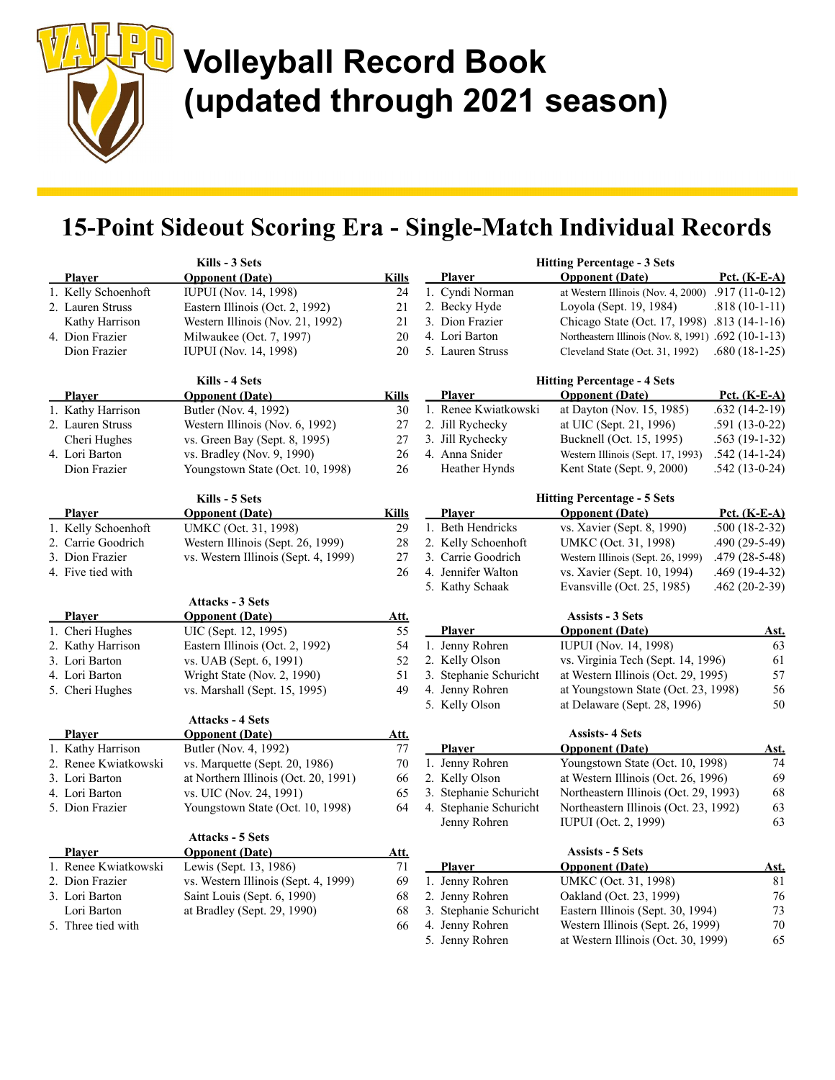### 15-Point Sideout Scoring Era - Single-Match Individual Records

| Kills - 3 Sets |                      |                                                   | <b>Hitting Percentage - 3 Sets</b> |  |                        |                                                     |                 |
|----------------|----------------------|---------------------------------------------------|------------------------------------|--|------------------------|-----------------------------------------------------|-----------------|
|                | <b>Player</b>        | <b>Opponent</b> (Date)                            | <b>Kills</b>                       |  | <b>Player</b>          | <b>Opponent</b> (Date)                              | Pct. $(K-E-A)$  |
|                | 1. Kelly Schoenhoft  | <b>IUPUI</b> (Nov. 14, 1998)                      | 24                                 |  | 1. Cyndi Norman        | at Western Illinois (Nov. 4, 2000)                  | $.917(11-0-12)$ |
|                | 2. Lauren Struss     | Eastern Illinois (Oct. 2, 1992)                   | 21                                 |  | 2. Becky Hyde          | Loyola (Sept. 19, 1984)                             | $.818(10-1-11)$ |
|                | Kathy Harrison       | Western Illinois (Nov. 21, 1992)                  | 21                                 |  | 3. Dion Frazier        | Chicago State (Oct. 17, 1998) .813 (14-1-16)        |                 |
|                | 4. Dion Frazier      | Milwaukee (Oct. 7, 1997)                          | 20                                 |  | 4. Lori Barton         | Northeastern Illinois (Nov. 8, 1991) .692 (10-1-13) |                 |
|                | Dion Frazier         | <b>IUPUI</b> (Nov. 14, 1998)                      | 20                                 |  | 5. Lauren Struss       | Cleveland State (Oct. 31, 1992)                     | $.680(18-1-25)$ |
|                |                      | Kills - 4 Sets                                    |                                    |  |                        | <b>Hitting Percentage - 4 Sets</b>                  |                 |
|                | Player               | <b>Opponent (Date)</b>                            | <b>Kills</b>                       |  | <b>Player</b>          | <b>Opponent</b> (Date)                              | Pct. $(K-E-A)$  |
|                | 1. Kathy Harrison    | Butler (Nov. 4, 1992)                             | 30                                 |  | 1. Renee Kwiatkowski   | at Dayton (Nov. 15, 1985)                           | $.632(14-2-19)$ |
|                | 2. Lauren Struss     | Western Illinois (Nov. 6, 1992)                   | 27                                 |  | 2. Jill Rychecky       | at UIC (Sept. 21, 1996)                             | $.591(13-0-22)$ |
|                | Cheri Hughes         | vs. Green Bay (Sept. 8, 1995)                     | 27                                 |  | 3. Jill Rychecky       | Bucknell (Oct. 15, 1995)                            | $.563(19-1-32)$ |
|                | 4. Lori Barton       | vs. Bradley (Nov. 9, 1990)                        | 26                                 |  | 4. Anna Snider         | Western Illinois (Sept. 17, 1993)                   | $.542(14-1-24)$ |
|                | Dion Frazier         | Youngstown State (Oct. 10, 1998)                  | 26                                 |  | Heather Hynds          | Kent State (Sept. 9, 2000)                          | $.542(13-0-24)$ |
|                |                      | Kills - 5 Sets                                    |                                    |  |                        | <b>Hitting Percentage - 5 Sets</b>                  |                 |
|                | <b>Player</b>        | <b>Opponent</b> (Date)                            | <b>Kills</b>                       |  | <b>Player</b>          | <b>Opponent</b> (Date)                              | Pct. $(K-E-A)$  |
|                | 1. Kelly Schoenhoft  | UMKC (Oct. 31, 1998)                              | 29                                 |  | 1. Beth Hendricks      | vs. Xavier (Sept. 8, 1990)                          | $.500(18-2-32)$ |
|                | 2. Carrie Goodrich   | Western Illinois (Sept. 26, 1999)                 | 28                                 |  | 2. Kelly Schoenhoft    | UMKC (Oct. 31, 1998)                                | $.490(29-5-49)$ |
|                | 3. Dion Frazier      | vs. Western Illinois (Sept. 4, 1999)              | 27                                 |  | 3. Carrie Goodrich     | Western Illinois (Sept. 26, 1999)                   | $.479(28-5-48)$ |
|                | 4. Five tied with    |                                                   | 26                                 |  | 4. Jennifer Walton     | vs. Xavier (Sept. 10, 1994)                         | .469 (19-4-32)  |
|                |                      |                                                   |                                    |  | 5. Kathy Schaak        | Evansville (Oct. 25, 1985)                          | $.462(20-2-39)$ |
|                | <b>Player</b>        | <b>Attacks - 3 Sets</b><br><b>Opponent</b> (Date) | Att.                               |  |                        | <b>Assists - 3 Sets</b>                             |                 |
|                | 1. Cheri Hughes      | UIC (Sept. 12, 1995)                              | 55                                 |  | <b>Player</b>          | <b>Opponent</b> (Date)                              | Ast.            |
|                | 2. Kathy Harrison    | Eastern Illinois (Oct. 2, 1992)                   | 54                                 |  | 1. Jenny Rohren        | <b>IUPUI</b> (Nov. 14, 1998)                        | 63              |
|                | 3. Lori Barton       | vs. UAB (Sept. 6, 1991)                           | 52                                 |  | 2. Kelly Olson         | vs. Virginia Tech (Sept. 14, 1996)                  | 61              |
|                | 4. Lori Barton       | Wright State (Nov. 2, 1990)                       | 51                                 |  | 3. Stephanie Schuricht | at Western Illinois (Oct. 29, 1995)                 | 57              |
|                | 5. Cheri Hughes      | vs. Marshall (Sept. 15, 1995)                     | 49                                 |  | 4. Jenny Rohren        | at Youngstown State (Oct. 23, 1998)                 | 56              |
|                |                      |                                                   |                                    |  | 5. Kelly Olson         | at Delaware (Sept. 28, 1996)                        | 50              |
|                |                      | <b>Attacks - 4 Sets</b>                           |                                    |  |                        |                                                     |                 |
|                | <b>Player</b>        | <b>Opponent</b> (Date)                            | Att.                               |  |                        | <b>Assists-4 Sets</b>                               |                 |
|                | 1. Kathy Harrison    | Butler (Nov. 4, 1992)                             | 77                                 |  | Player                 | <b>Opponent</b> (Date)                              | <u>Ast.</u>     |
|                | 2. Renee Kwiatkowski | vs. Marquette (Sept. 20, 1986)                    | 70                                 |  | 1. Jenny Rohren        | Youngstown State (Oct. 10, 1998)                    | 74              |
|                | 3. Lori Barton       | at Northern Illinois (Oct. 20, 1991)              | 66                                 |  | 2. Kelly Olson         | at Western Illinois (Oct. 26, 1996)                 | 69              |
|                | 4. Lori Barton       | vs. UIC (Nov. 24, 1991)                           | 65                                 |  | 3. Stephanie Schuricht | Northeastern Illinois (Oct. 29, 1993)               | 68              |
|                | 5. Dion Frazier      | Youngstown State (Oct. 10, 1998)                  | 64                                 |  | 4. Stephanie Schuricht | Northeastern Illinois (Oct. 23, 1992)               | 63              |
|                |                      | <b>Attacks - 5 Sets</b>                           |                                    |  | Jenny Rohren           | IUPUI (Oct. 2, 1999)                                | 63              |
|                | <b>Player</b>        | <b>Opponent</b> (Date)                            | <u>Att.</u>                        |  |                        | <b>Assists - 5 Sets</b>                             |                 |
|                | 1. Renee Kwiatkowski | Lewis (Sept. 13, 1986)                            | 71                                 |  | <b>Player</b>          | <b>Opponent</b> (Date)                              | <u>Ast.</u>     |
|                | 2. Dion Frazier      | vs. Western Illinois (Sept. 4, 1999)              | 69                                 |  | 1. Jenny Rohren        | UMKC (Oct. 31, 1998)                                | 81              |
|                | 3. Lori Barton       | Saint Louis (Sept. 6, 1990)                       | 68                                 |  | 2. Jenny Rohren        | Oakland (Oct. 23, 1999)                             | 76              |
|                | Lori Barton          | at Bradley (Sept. 29, 1990)                       | 68                                 |  | 3. Stephanie Schuricht | Eastern Illinois (Sept. 30, 1994)                   | 73              |
|                | 5. Three tied with   |                                                   | 66                                 |  | 4. Jenny Rohren        | Western Illinois (Sept. 26, 1999)                   | 70              |
|                |                      |                                                   |                                    |  | 5. Jenny Rohren        | at Western Illinois (Oct. 30, 1999)                 | 65              |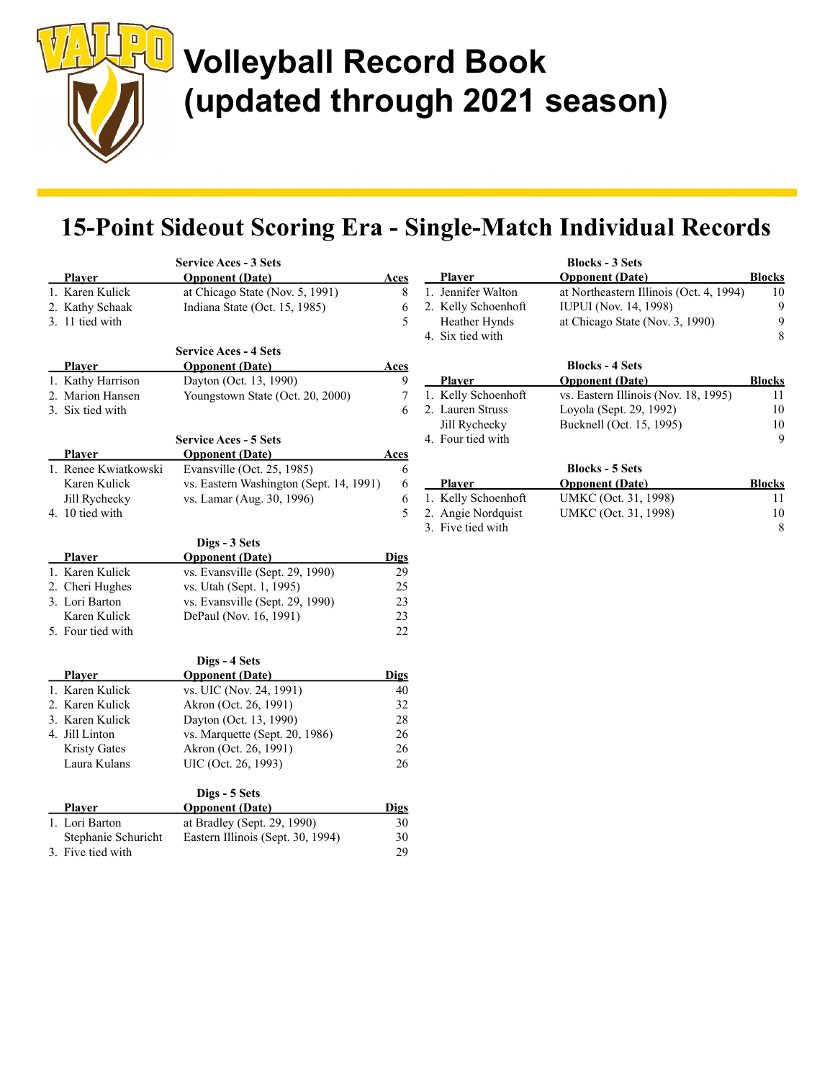$\begin{array}{|c|c|} \hline \rule{0pt}{12pt} \rule{0pt}{2.5pt} \rule{0pt}{2.5pt} \rule{0pt}{2.5pt} \rule{0pt}{2.5pt} \rule{0pt}{2.5pt} \rule{0pt}{2.5pt} \rule{0pt}{2.5pt} \rule{0pt}{2.5pt} \rule{0pt}{2.5pt} \rule{0pt}{2.5pt} \rule{0pt}{2.5pt} \rule{0pt}{2.5pt} \rule{0pt}{2.5pt} \rule{0pt}{2.5pt} \rule{0pt}{2.5pt} \rule{0pt}{2.5pt} \rule{0pt}{2.5pt} \rule{0pt}{2.5$ 

# Volleyball Record Book (updated through 2021 season)

### 15-Point Sideout Scoring Era - Single-Match Individual Records

|                                  | <b>Service Aces - 3 Sets</b><br><b>Opponent</b> (Date) |             | Player              | <b>Blocks - 3 Sets</b><br><b>Opponent</b> (Date) | <b>Blocks</b> |
|----------------------------------|--------------------------------------------------------|-------------|---------------------|--------------------------------------------------|---------------|
| <b>Player</b><br>1. Karen Kulick | at Chicago State (Nov. 5, 1991)                        | Aces<br>8   | 1. Jennifer Walton  | at Northeastern Illinois (Oct. 4, 1994)          | 10            |
| 2. Kathy Schaak                  | Indiana State (Oct. 15, 1985)                          | 6           | 2. Kelly Schoenhoft | <b>IUPUI</b> (Nov. 14, 1998)                     | 9             |
| 3. 11 tied with                  |                                                        | 5           | Heather Hynds       | at Chicago State (Nov. 3, 1990)                  | 9             |
|                                  |                                                        |             | 4. Six tied with    |                                                  | 8             |
|                                  | <b>Service Aces - 4 Sets</b>                           |             |                     |                                                  |               |
| Player                           | <b>Opponent</b> (Date)                                 | <u>Aces</u> |                     | <b>Blocks - 4 Sets</b>                           |               |
| 1. Kathy Harrison                | Dayton (Oct. 13, 1990)                                 | 9           | <b>Player</b>       | <b>Opponent</b> (Date)                           | <b>Blocks</b> |
| 2. Marion Hansen                 | Youngstown State (Oct. 20, 2000)                       | $\tau$      | 1. Kelly Schoenhoft | vs. Eastern Illinois (Nov. 18, 1995)             | 11            |
| 3. Six tied with                 |                                                        | 6           | 2. Lauren Struss    | Loyola (Sept. 29, 1992)                          | 10            |
|                                  |                                                        |             | Jill Rychecky       | Bucknell (Oct. 15, 1995)                         | 10            |
|                                  | <b>Service Aces - 5 Sets</b>                           |             | 4. Four tied with   |                                                  | 9             |
| <b>Player</b>                    | <b>Opponent</b> (Date)                                 | <b>Aces</b> |                     |                                                  |               |
| 1. Renee Kwiatkowski             | Evansville (Oct. 25, 1985)                             | 6           |                     | <b>Blocks - 5 Sets</b>                           |               |
| Karen Kulick                     | vs. Eastern Washington (Sept. 14, 1991)                | 6           | Player              | <b>Opponent</b> (Date)                           | <b>Blocks</b> |
| Jill Rychecky                    | vs. Lamar (Aug. 30, 1996)                              | 6           | 1. Kelly Schoenhoft | UMKC (Oct. 31, 1998)                             | 11            |
| 4. 10 tied with                  |                                                        | 5           | 2. Angie Nordquist  | UMKC (Oct. 31, 1998)                             | 10            |
|                                  |                                                        |             | 3. Five tied with   |                                                  | 8             |
|                                  | Digs - 3 Sets                                          |             |                     |                                                  |               |
| <b>Player</b>                    | <b>Opponent</b> (Date)                                 | <b>Digs</b> |                     |                                                  |               |
| 1. Karen Kulick                  | vs. Evansville (Sept. 29, 1990)                        | 29          |                     |                                                  |               |
| 2. Cheri Hughes                  | vs. Utah (Sept. 1, 1995)                               | 25          |                     |                                                  |               |
| 3. Lori Barton                   | vs. Evansville (Sept. 29, 1990)                        | 23          |                     |                                                  |               |
| Karen Kulick                     | DePaul (Nov. 16, 1991)                                 | 23          |                     |                                                  |               |
| 5. Four tied with                |                                                        | 22          |                     |                                                  |               |
|                                  | Digs - 4 Sets                                          |             |                     |                                                  |               |
| Player                           | <b>Opponent</b> (Date)                                 | <b>Digs</b> |                     |                                                  |               |
| 1. Karen Kulick                  | vs. UIC (Nov. 24, 1991)                                | 40          |                     |                                                  |               |
| 2. Karen Kulick                  | Akron (Oct. 26, 1991)                                  | 32          |                     |                                                  |               |
| 3. Karen Kulick                  | Dayton (Oct. 13, 1990)                                 | 28          |                     |                                                  |               |
| 4. Jill Linton                   | vs. Marquette (Sept. 20, 1986)                         | 26          |                     |                                                  |               |
| <b>Kristy Gates</b>              | Akron (Oct. 26, 1991)                                  | 26          |                     |                                                  |               |
| Laura Kulans                     | UIC (Oct. 26, 1993)                                    | 26          |                     |                                                  |               |
|                                  | Digs - 5 Sets                                          |             |                     |                                                  |               |
| <b>Player</b>                    | <b>Opponent</b> (Date)                                 | <b>Digs</b> |                     |                                                  |               |
| 1. Lori Barton                   | at Bradley (Sept. 29, 1990)                            | 30          |                     |                                                  |               |
| Stephanie Schuricht              | Eastern Illinois (Sept. 30, 1994)                      | 30          |                     |                                                  |               |
| 3. Five tied with                |                                                        | 29          |                     |                                                  |               |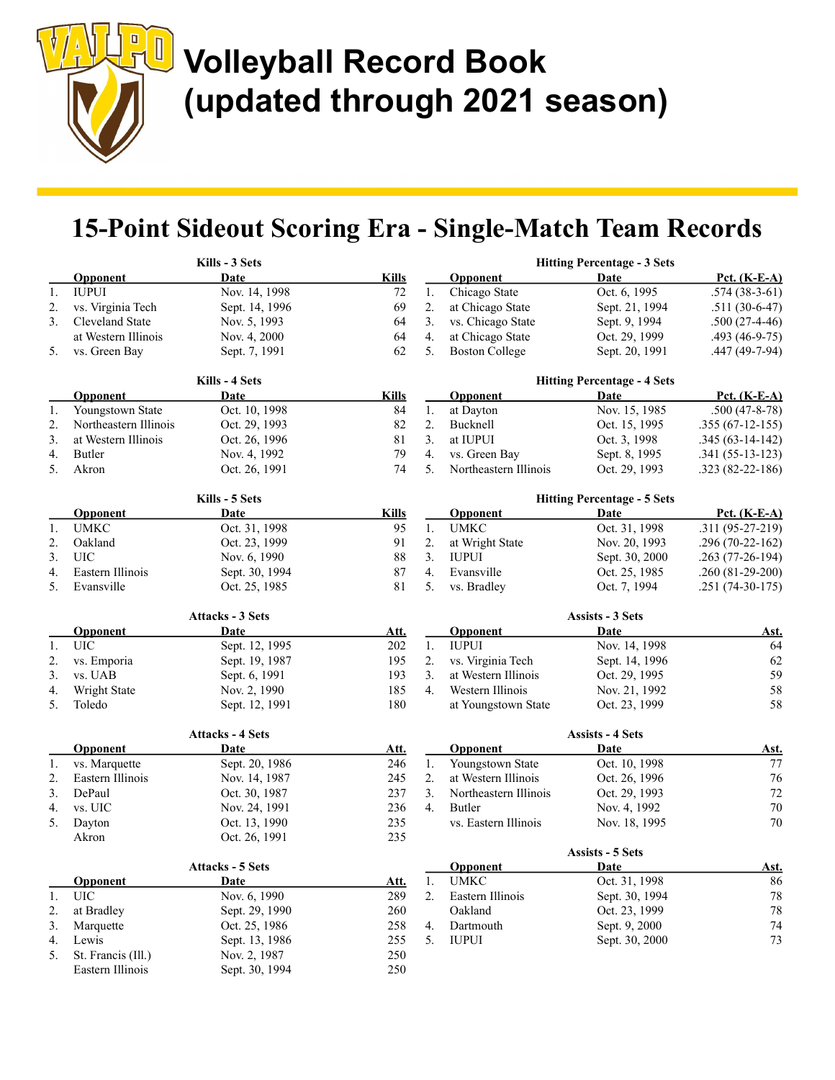$\begin{array}{c} \hline \end{array}$ 

# Volleyball Record Book (updated through 2021 season)

## 15-Point Sideout Scoring Era - Single-Match Team Records

|    |                       | Kills - 3 Sets          |              |    |                       | <b>Hitting Percentage - 3 Sets</b> |                     |
|----|-----------------------|-------------------------|--------------|----|-----------------------|------------------------------------|---------------------|
|    | Opponent              | Date                    | <b>Kills</b> |    | Opponent              | Date                               | Pct. (K-E-A)        |
| 1. | <b>IUPUI</b>          | Nov. 14, 1998           | $72\,$       | 1. | Chicago State         | Oct. 6, 1995                       | $.574(38-3-61)$     |
| 2. | vs. Virginia Tech     | Sept. 14, 1996          | 69           | 2. | at Chicago State      | Sept. 21, 1994                     | $.511(30-6-47)$     |
| 3. | Cleveland State       | Nov. 5, 1993            | 64           | 3. | vs. Chicago State     | Sept. 9, 1994                      | $.500(27-4-46)$     |
|    | at Western Illinois   | Nov. 4, 2000            | 64           | 4. | at Chicago State      | Oct. 29, 1999                      | $.493(46-9-75)$     |
| 5. | vs. Green Bay         | Sept. 7, 1991           | 62           | 5. | <b>Boston College</b> | Sept. 20, 1991                     | $.447(49-7-94)$     |
|    |                       | Kills - 4 Sets          |              |    |                       | <b>Hitting Percentage - 4 Sets</b> |                     |
|    | Opponent              | Date                    | <b>Kills</b> |    | <b>Opponent</b>       | Date                               | <b>Pct.</b> (K-E-A) |
| 1. | Youngstown State      | Oct. 10, 1998           | 84           | 1. | at Dayton             | Nov. 15, 1985                      | $.500(47-8-78)$     |
| 2. | Northeastern Illinois | Oct. 29, 1993           | 82           | 2. | Bucknell              | Oct. 15, 1995                      | $.355(67-12-155)$   |
| 3. | at Western Illinois   | Oct. 26, 1996           | 81           | 3. | at IUPUI              | Oct. 3, 1998                       | $.345(63-14-142)$   |
| 4. | Butler                | Nov. 4, 1992            | 79           | 4. | vs. Green Bay         | Sept. 8, 1995                      | $.341(55-13-123)$   |
| 5. | Akron                 | Oct. 26, 1991           | 74           | 5. | Northeastern Illinois | Oct. 29, 1993                      | $.323(82-22-186)$   |
|    |                       | Kills - 5 Sets          |              |    |                       | <b>Hitting Percentage - 5 Sets</b> |                     |
|    | <b>Opponent</b>       | Date                    | <b>Kills</b> |    | <b>Opponent</b>       | Date                               | Pct. (K-E-A)        |
| 1. | <b>UMKC</b>           | Oct. 31, 1998           | 95           | 1. | <b>UMKC</b>           | Oct. 31, 1998                      | $.311(95-27-219)$   |
| 2. | Oakland               | Oct. 23, 1999           | 91           | 2. | at Wright State       | Nov. 20, 1993                      | $.296(70-22-162)$   |
| 3. | <b>UIC</b>            | Nov. 6, 1990            | $88\,$       | 3. | <b>IUPUI</b>          | Sept. 30, 2000                     | .263 (77-26-194)    |
| 4. | Eastern Illinois      | Sept. 30, 1994          | 87           | 4. | Evansville            | Oct. 25, 1985                      | $.260(81-29-200)$   |
| 5. | Evansville            | Oct. 25, 1985           | 81           | 5. | vs. Bradley           | Oct. 7, 1994                       | $.251(74-30-175)$   |
|    |                       | <b>Attacks - 3 Sets</b> |              |    |                       | Assists - 3 Sets                   |                     |
|    | <b>Opponent</b>       | Date                    | <u>Att.</u>  |    | <b>Opponent</b>       | Date                               | <u>Ast.</u>         |
| 1. | <b>UIC</b>            | Sept. 12, 1995          | 202          | 1. | <b>IUPUI</b>          | Nov. 14, 1998                      | 64                  |
| 2. | vs. Emporia           | Sept. 19, 1987          | 195          | 2. | vs. Virginia Tech     | Sept. 14, 1996                     | 62                  |
| 3. | vs. UAB               | Sept. 6, 1991           | 193          | 3. | at Western Illinois   | Oct. 29, 1995                      | 59                  |
| 4. | Wright State          | Nov. 2, 1990            | 185          | 4. | Western Illinois      | Nov. 21, 1992                      | 58                  |
| 5. | Toledo                | Sept. 12, 1991          | 180          |    | at Youngstown State   | Oct. 23, 1999                      | 58                  |
|    |                       | <b>Attacks - 4 Sets</b> |              |    |                       | <b>Assists - 4 Sets</b>            |                     |
|    | <b>Opponent</b>       | Date                    | Att.         |    | Opponent              | Date                               | <u>Ast.</u>         |
| 1. | vs. Marquette         | Sept. 20, 1986          | 246          | 1. | Youngstown State      | Oct. 10, 1998                      | 77                  |
| 2. | Eastern Illinois      | Nov. 14, 1987           | 245          | 2. | at Western Illinois   | Oct. 26, 1996                      | 76                  |
| 3. | DePaul                | Oct. 30, 1987           | 237          | 3. | Northeastern Illinois | Oct. 29, 1993                      | $72\,$              |
| 4. | vs. UIC               | Nov. 24, 1991           | 236          | 4. | Butler                | Nov. 4, 1992                       | 70                  |
| 5. | Dayton                | Oct. 13, 1990           | 235          |    | vs. Eastern Illinois  | Nov. 18, 1995                      | $70\,$              |
|    | Akron                 | Oct. 26, 1991           | 235          |    |                       |                                    |                     |
|    |                       |                         |              |    |                       | <b>Assists - 5 Sets</b>            |                     |
|    |                       | <b>Attacks - 5 Sets</b> |              |    | <b>Opponent</b>       | Date                               | <u>Ast.</u>         |
|    | <b>Opponent</b>       | Date                    | <u>Att.</u>  | 1. | <b>UMKC</b>           | Oct. 31, 1998                      | 86                  |
| 1. | <b>UIC</b>            | Nov. 6, 1990            | 289          | 2. | Eastern Illinois      | Sept. 30, 1994                     | 78                  |
| 2. | at Bradley            | Sept. 29, 1990          | 260          |    | Oakland               | Oct. 23, 1999                      | 78                  |
| 3. | Marquette             | Oct. 25, 1986           | 258          | 4. | Dartmouth             | Sept. 9, 2000                      | 74                  |
| 4. | Lewis                 | Sept. 13, 1986          | 255          | 5. | <b>IUPUI</b>          | Sept. 30, 2000                     | 73                  |
| 5. | St. Francis (Ill.)    | Nov. 2, 1987            | 250          |    |                       |                                    |                     |
|    | Eastern Illinois      | Sept. 30, 1994          | 250          |    |                       |                                    |                     |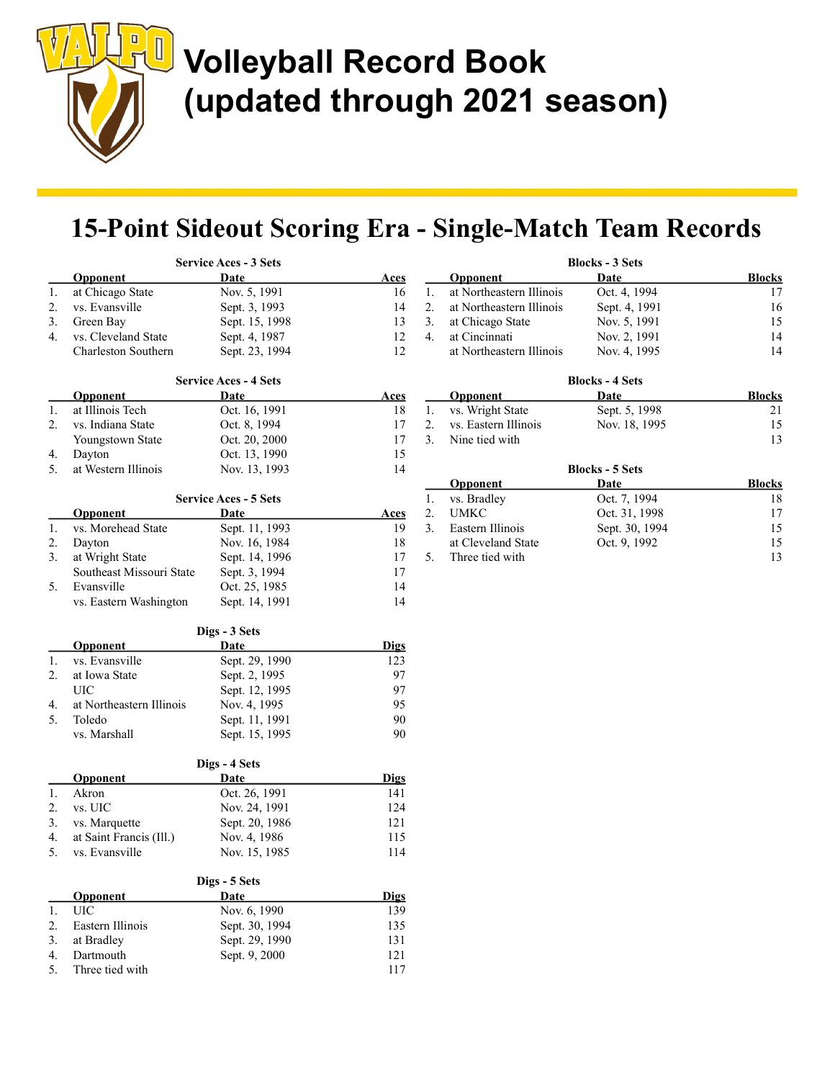

## 15-Point Sideout Scoring Era - Single-Match Team Records

|          |                                     | <b>Service Aces - 3 Sets</b>         |                   |
|----------|-------------------------------------|--------------------------------------|-------------------|
|          | <b>Opponent</b>                     | Date                                 | Aces              |
| 1.       | at Chicago State                    | Nov. 5, 1991                         | 16                |
| 2.       | vs. Evansville                      | Sept. 3, 1993                        | 14                |
| 3.       | Green Bay                           | Sept. 15, 1998                       | 13                |
| 4.       | vs. Cleveland State                 | Sept. 4, 1987                        | 12                |
|          | <b>Charleston Southern</b>          | Sept. 23, 1994                       | 12                |
|          |                                     |                                      |                   |
|          |                                     | <b>Service Aces - 4 Sets</b><br>Date |                   |
| 1.       | <b>Opponent</b><br>at Illinois Tech | Oct. 16, 1991                        | <u>Aces</u><br>18 |
| 2.       | vs. Indiana State                   | Oct. 8, 1994                         | 17                |
|          |                                     | Oct. 20, 2000                        | 17                |
| 4.       | Youngstown State                    | Oct. 13, 1990                        | 15                |
| 5.       | Dayton<br>at Western Illinois       | Nov. 13, 1993                        | 14                |
|          |                                     |                                      |                   |
|          |                                     | <b>Service Aces - 5 Sets</b>         |                   |
|          | <b>Opponent</b>                     | Date                                 | <u>Aces</u>       |
| 1.       | vs. Morehead State                  | Sept. 11, 1993                       | 19                |
| 2.       | Dayton                              | Nov. 16, 1984                        | 18                |
| 3.       | at Wright State                     | Sept. 14, 1996                       | 17                |
|          | Southeast Missouri State            | Sept. 3, 1994                        | 17                |
| 5.       | Evansville                          | Oct. 25, 1985                        | 14                |
|          | vs. Eastern Washington              | Sept. 14, 1991                       | 14                |
|          |                                     | Digs - 3 Sets                        |                   |
|          | Opponent                            | <u>Date</u>                          | <b>Digs</b>       |
| 1.       | vs. Evansville                      | Sept. 29, 1990                       | 123               |
| 2.       | at Iowa State                       | Sept. 2, 1995                        | 97                |
|          | UIC                                 | Sept. 12, 1995                       | 97                |
| 4.       | at Northeastern Illinois            | Nov. 4, 1995                         | 95                |
| 5.       | Toledo                              | Sept. 11, 1991                       | 90                |
|          | vs. Marshall                        | Sept. 15, 1995                       | 90                |
|          |                                     |                                      |                   |
|          | Opponent                            | Digs - 4 Sets<br><u>Date</u>         | <b>Digs</b>       |
| 1.       | Akron                               | Oct. 26, 1991                        | 141               |
| 2.       | vs. UIC                             | Nov. 24, 1991                        | 124               |
| 3.       | vs. Marquette                       | Sept. 20, 1986                       | 121               |
| 4.       | at Saint Francis (Ill.)             | Nov. 4, 1986                         | 115               |
| 5.       | vs. Evansville                      | Nov. 15, 1985                        | 114               |
|          |                                     |                                      |                   |
|          | <b>Opponent</b>                     | Digs - 5 Sets<br>Date                | <b>Digs</b>       |
| 1.       | UIC                                 | Nov. 6, 1990                         | 139               |
| 2.       | Eastern Illinois                    | Sept. 30, 1994                       | 135               |
|          |                                     |                                      |                   |
|          |                                     |                                      |                   |
| 3.<br>4. | at Bradley<br>Dartmouth             | Sept. 29, 1990<br>Sept. 9, 2000      | 131<br>121        |

|    | Opponent                 | Date                   | <b>Blocks</b> |
|----|--------------------------|------------------------|---------------|
| 1. | at Northeastern Illinois | Oct. 4, 1994           | 17            |
| 2. | at Northeastern Illinois | Sept. 4, 1991          | 16            |
| 3. | at Chicago State         | Nov. 5, 1991           | 15            |
| 4. | at Cincinnati            | Nov. 2, 1991           | 14            |
|    | at Northeastern Illinois | Nov. 4, 1995           | 14            |
|    |                          | <b>Blocks - 4 Sets</b> |               |
|    | Opponent                 | Date                   | <b>Blocks</b> |
| 1. | vs. Wright State         | Sept. 5, 1998          | 21            |
| 2. | vs. Eastern Illinois     | Nov. 18, 1995          | 15            |
| 3. | Nine tied with           |                        | 13            |
|    |                          | <b>DII</b> POL         |               |

Blocks - 3 Sets

|    | <b>Blocks - 5 Sets</b> |                |               |  |  |
|----|------------------------|----------------|---------------|--|--|
|    | <b>Opponent</b>        | Date           | <b>Blocks</b> |  |  |
| 1. | vs. Bradley            | Oct. 7, 1994   | 18            |  |  |
| 2. | <b>UMKC</b>            | Oct. 31, 1998  | 17            |  |  |
| 3. | Eastern Illinois       | Sept. 30, 1994 | 15            |  |  |
|    | at Cleveland State     | Oct. 9, 1992   | 15            |  |  |
| 5. | Three tied with        |                | 13            |  |  |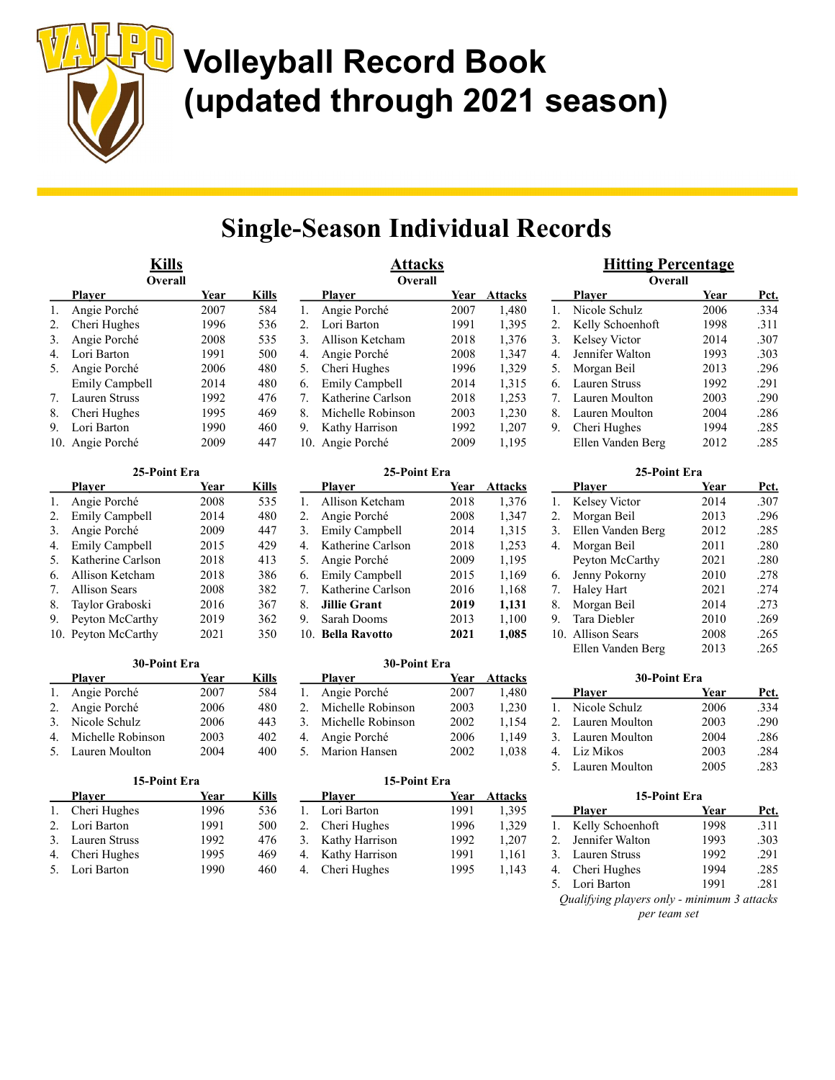

## Single-Season Individual Records

**Attacks** 

|                | <u>Kills</u><br>Overall |      |       |
|----------------|-------------------------|------|-------|
|                | Plaver                  | Year | Kills |
| 1.             | Angie Porché            | 2007 | 584   |
| 2.             | Cheri Hughes            | 1996 | 536   |
| 3.             | Angie Porché            | 2008 | 535   |
| $\mathbf{4}$ . | Lori Barton             | 1991 | 500   |
| 5.             | Angie Porché            | 2006 | 480   |
|                | <b>Emily Campbell</b>   | 2014 | 480   |
| 7.             | Lauren Struss           | 1992 | 476   |
| 8.             | Cheri Hughes            | 1995 | 469   |
| 9.             | Lori Barton             | 1990 | 460   |
| 10.            | Angie Porché            | 2009 | 447   |

|    | 25-Point Era          |      |       |  |  |  |
|----|-----------------------|------|-------|--|--|--|
|    | Plaver                | Year | Kills |  |  |  |
| 1. | Angie Porché          | 2008 | 535   |  |  |  |
| 2. | <b>Emily Campbell</b> | 2014 | 480   |  |  |  |
| 3. | Angie Porché          | 2009 | 447   |  |  |  |
| 4. | <b>Emily Campbell</b> | 2015 | 429   |  |  |  |
| 5. | Katherine Carlson     | 2018 | 413   |  |  |  |
| 6. | Allison Ketcham       | 2018 | 386   |  |  |  |
| 7. | <b>Allison Sears</b>  | 2008 | 382   |  |  |  |
| 8. | Taylor Graboski       | 2016 | 367   |  |  |  |
| 9. | Peyton McCarthy       | 2019 | 362   |  |  |  |
|    | 10. Peyton McCarthy   | 2021 | 350   |  |  |  |

| 30-Point Era |                   |      |       |  |  |
|--------------|-------------------|------|-------|--|--|
|              | Plaver            | Year | Kills |  |  |
|              | Angie Porché      | 2007 | 584   |  |  |
|              | 2. Angie Porché   | 2006 | 480   |  |  |
|              | 3. Nicole Schulz  | 2006 | 443   |  |  |
| 4.           | Michelle Robinson | 2003 | 402   |  |  |
|              | 5. Lauren Moulton | 2004 | 400   |  |  |

|               | 15-Point Era     |      |       |  |
|---------------|------------------|------|-------|--|
|               | Plaver           | Year | Kills |  |
|               | Cheri Hughes     | 1996 | 536   |  |
| $\mathcal{D}$ | Lori Barton      | 1991 | 500   |  |
|               | 3. Lauren Struss | 1992 | 476   |  |
| 4.            | Cheri Hughes     | 1995 | 469   |  |
|               | 5. Lori Barton   | 1990 | 460   |  |

|    | <b>Overall</b>        |      |                |
|----|-----------------------|------|----------------|
|    | Plaver                | Year | <b>Attacks</b> |
| 1. | Angie Porché          | 2007 | 1,480          |
| 2. | Lori Barton           | 1991 | 1,395          |
| 3. | Allison Ketcham       | 2018 | 1,376          |
| 4. | Angie Porché          | 2008 | 1,347          |
| 5. | Cheri Hughes          | 1996 | 1,329          |
| 6. | <b>Emily Campbell</b> | 2014 | 1,315          |
| 7. | Katherine Carlson     | 2018 | 1,253          |
| 8. | Michelle Robinson     | 2003 | 1,230          |
| 9. | Kathy Harrison        | 1992 | 1,207          |
|    | 10. Angie Porché      | 2009 | 1,195          |

#### 25-Point Era

|    | Plaver                | Year | Attacks |
|----|-----------------------|------|---------|
| 1. | Allison Ketcham       | 2018 | 1,376   |
| 2. | Angie Porché          | 2008 | 1,347   |
| 3. | <b>Emily Campbell</b> | 2014 | 1,315   |
| 4. | Katherine Carlson     | 2018 | 1,253   |
| 5. | Angie Porché          | 2009 | 1,195   |
| 6. | <b>Emily Campbell</b> | 2015 | 1,169   |
| 7. | Katherine Carlson     | 2016 | 1,168   |
| 8. | <b>Jillie Grant</b>   | 2019 | 1,131   |
| 9. | Sarah Dooms           | 2013 | 1,100   |
|    | 10. Bella Ravotto     | 2021 | 1,085   |

#### 30-Point Era

|    | <b>Player</b>        | Year | <b>Attacks</b> |
|----|----------------------|------|----------------|
| 1. | Angie Porché         | 2007 | 1,480          |
| 2. | Michelle Robinson    | 2003 | 1,230          |
|    | 3. Michelle Robinson | 2002 | 1.154          |
| 4. | Angie Porché         | 2006 | 1,149          |
|    | 5. Marion Hansen     | 2002 | 1,038          |
|    |                      |      |                |

### 15-Point Era

|    | <b>Player</b>     | Year | <b>Attacks</b> |
|----|-------------------|------|----------------|
| 1. | Lori Barton       | 1991 | 1,395          |
| 2. | Cheri Hughes      | 1996 | 1,329          |
|    | 3. Kathy Harrison | 1992 | 1,207          |
| 4. | Kathy Harrison    | 1991 | 1,161          |
|    | 4. Cheri Hughes   | 1995 | 1,143          |
|    |                   |      |                |

### Hitting Percentage **Overall**

|                | <b>Player</b>     | Year | Pct. |
|----------------|-------------------|------|------|
| $\mathbf{1}$ . | Nicole Schulz     | 2006 | .334 |
| 2.             | Kelly Schoenhoft  | 1998 | .311 |
| 3.             | Kelsey Victor     | 2014 | .307 |
| 4.             | Jennifer Walton   | 1993 | .303 |
| 5.             | Morgan Beil       | 2013 | .296 |
| 6.             | Lauren Struss     | 1992 | .291 |
| 7.             | Lauren Moulton    | 2003 | .290 |
| 8.             | Lauren Moulton    | 2004 | .286 |
| 9.             | Cheri Hughes      | 1994 | .285 |
|                | Ellen Vanden Berg | 2012 | .285 |

|    | 25-Point Era      |      |      |
|----|-------------------|------|------|
|    | <b>Player</b>     | Year | Pct. |
| 1. | Kelsey Victor     | 2014 | .307 |
| 2. | Morgan Beil       | 2013 | .296 |
| 3. | Ellen Vanden Berg | 2012 | .285 |
| 4. | Morgan Beil       | 2011 | .280 |
|    | Peyton McCarthy   | 2021 | .280 |
| 6. | Jenny Pokorny     | 2010 | .278 |
| 7. | Haley Hart        | 2021 | .274 |
| 8. | Morgan Beil       | 2014 | .273 |
| 9. | Tara Diebler      | 2010 | .269 |
|    | 10. Allison Sears | 2008 | .265 |
|    | Ellen Vanden Berg | 2013 | .265 |

| 30-Point Era |                   |      |      |
|--------------|-------------------|------|------|
|              | <b>Player</b>     | Year | Pct. |
|              | Nicole Schulz     | 2006 | .334 |
|              | 2. Lauren Moulton | 2003 | .290 |
|              | 3. Lauren Moulton | 2004 | .286 |
|              | Liz Mikos         | 2003 | .284 |
|              | 5. Lauren Moulton | 2005 | 283  |

#### 15-Point Era

|                                             | <b>Player</b>       | Year | Pct. |
|---------------------------------------------|---------------------|------|------|
|                                             | 1. Kelly Schoenhoft | 1998 | .311 |
| 2.                                          | Jennifer Walton     | 1993 | .303 |
| 3.                                          | Lauren Struss       | 1992 | .291 |
|                                             | 4. Cheri Hughes     | 1994 | .285 |
| 5.                                          | Lori Barton         | 1991 | .281 |
| Qualifying players only - minimum 3 attacks |                     |      |      |
| per team set                                |                     |      |      |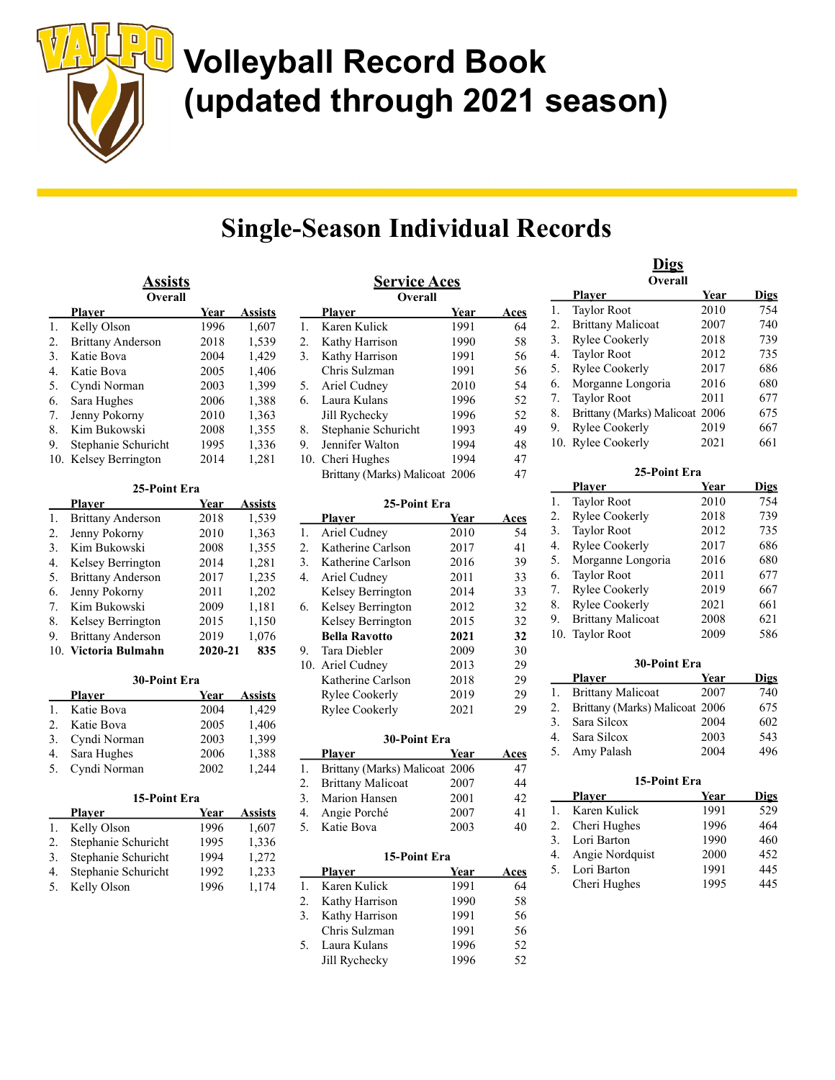

## Single-Season Individual Records

| <u>Assists</u> |                          |      |         |  |
|----------------|--------------------------|------|---------|--|
|                | Overall                  |      |         |  |
|                | Plaver                   | Year | Assists |  |
| 1.             | Kelly Olson              | 1996 | 1,607   |  |
| 2.             | <b>Brittany Anderson</b> | 2018 | 1,539   |  |
| 3.             | Katie Bova               | 2004 | 1,429   |  |
| 4.             | Katie Bova               | 2005 | 1,406   |  |
| 5.             | Cyndi Norman             | 2003 | 1,399   |  |
| 6.             | Sara Hughes              | 2006 | 1,388   |  |
| 7.             | Jenny Pokorny            | 2010 | 1,363   |  |
| 8.             | Kim Bukowski             | 2008 | 1,355   |  |
| 9.             | Stephanie Schuricht      | 1995 | 1,336   |  |
|                | 10. Kelsey Berrington    | 2014 | 1,281   |  |

| 25-Point Era |                          |         |         |
|--------------|--------------------------|---------|---------|
|              | Plaver                   | Year    | Assists |
| 1.           | <b>Brittany Anderson</b> | 2018    | 1,539   |
| 2.           | Jenny Pokorny            | 2010    | 1,363   |
| 3.           | Kim Bukowski             | 2008    | 1,355   |
| 4.           | Kelsey Berrington        | 2014    | 1,281   |
| 5.           | <b>Brittany Anderson</b> | 2017    | 1,235   |
| 6.           | Jenny Pokorny            | 2011    | 1,202   |
| 7.           | Kim Bukowski             | 2009    | 1,181   |
| 8.           | Kelsey Berrington        | 2015    | 1,150   |
| 9.           | <b>Brittany Anderson</b> | 2019    | 1,076   |
| 10.          | Victoria Bulmahn         | 2020-21 | 835     |

| 30-Point Era |               |      |                |
|--------------|---------------|------|----------------|
|              | <b>Player</b> | Year | <b>Assists</b> |
|              | Katie Bova    | 2004 | 1,429          |
| 2.           | Katie Bova    | 2005 | 1,406          |
| 3.           | Cyndi Norman  | 2003 | 1,399          |
| 4.           | Sara Hughes   | 2006 | 1,388          |
| 5.           | Cyndi Norman  | 2002 | 1.244          |
|              |               |      |                |

| 15-Point Era        |      |                |  |
|---------------------|------|----------------|--|
| <b>Player</b>       | Year | <b>Assists</b> |  |
| Kelly Olson         | 1996 | 1,607          |  |
| Stephanie Schuricht | 1995 | 1,336          |  |
| Stephanie Schuricht | 1994 | 1,272          |  |
| Stephanie Schuricht | 1992 | 1,233          |  |
| Kelly Olson         | 1996 | 1,174          |  |
|                     |      |                |  |

 $15-2$ 

| <u>Service Aces</u><br><b>Overall</b> |                                |      |             |
|---------------------------------------|--------------------------------|------|-------------|
|                                       | Plaver                         | Year | <b>Aces</b> |
| 1.                                    | Karen Kulick                   | 1991 | 64          |
| 2.                                    | Kathy Harrison                 | 1990 | 58          |
| 3.                                    | Kathy Harrison                 | 1991 | 56          |
|                                       | Chris Sulzman                  | 1991 | 56          |
| 5.                                    | Ariel Cudney                   | 2010 | 54          |
| 6.                                    | Laura Kulans                   | 1996 | 52          |
|                                       | Jill Rychecky                  | 1996 | 52          |
| 8.                                    | Stephanie Schuricht            | 1993 | 49          |
| 9.                                    | Jennifer Walton                | 1994 | 48          |
|                                       | 10. Cheri Hughes               | 1994 | 47          |
|                                       | Brittany (Marks) Malicoat 2006 |      | 47          |

#### 25-Point Era

|    | <b>Player</b>        | Year | Aces |
|----|----------------------|------|------|
| 1. | Ariel Cudney         | 2010 | 54   |
| 2. | Katherine Carlson    | 2017 | 41   |
| 3. | Katherine Carlson    | 2016 | 39   |
| 4. | Ariel Cudney         | 2011 | 33   |
|    | Kelsey Berrington    | 2014 | 33   |
| 6. | Kelsey Berrington    | 2012 | 32   |
|    | Kelsey Berrington    | 2015 | 32   |
|    | <b>Bella Ravotto</b> | 2021 | 32   |
| 9. | Tara Diebler         | 2009 | 30   |
|    | 10. Ariel Cudney     | 2013 | 29   |
|    | Katherine Carlson    | 2018 | 29   |
|    | Rylee Cookerly       | 2019 | 29   |
|    | Rylee Cookerly       | 2021 | 29   |

| 30-Point Era |                                |      |      |
|--------------|--------------------------------|------|------|
|              | Plaver                         | Year | Aces |
| 1.           | Brittany (Marks) Malicoat 2006 |      | 47   |
| 2.           | <b>Brittany Malicoat</b>       | 2007 | 44   |
|              | 3. Marion Hansen               | 2001 | 42   |
| 4.           | Angie Porché                   | 2007 | 41   |
|              | 5. Katie Bova                  | 2003 | 40   |
|              |                                |      |      |

### 15-Point Era Player Year Aces 1. Karen Kulick 1991 64

|    | 2. Kathy Harrison | 1990 | 58  |
|----|-------------------|------|-----|
| 3. | Kathy Harrison    | 1991 | 56  |
|    | Chris Sulzman     | 1991 | 56  |
| 5. | Laura Kulans      | 1996 | 52. |
|    | Jill Rychecky     | 1996 | 52. |
|    |                   |      |     |

#### Digs **Overall** Player Year Digs 1. Taylor Root 2010 754 2. Brittany Malicoat 2007 740<br>3. Rylee Cookerly 2018 739 3. Rylee Cookerly 2018 739 4. Taylor Root 2012 735 5. Rylee Cookerly 2017 686 6. Morganne Longoria 2016 680 7. Taylor Root 2011 677 8. Brittany (Marks) Malicoat 2006 675

9. Rylee Cookerly 2019 667 10. Rylee Cookerly 2021 661

| 25-Point Era |                          |      |             |
|--------------|--------------------------|------|-------------|
|              | <b>Player</b>            | Year | <b>Digs</b> |
| 1.           | <b>Taylor Root</b>       | 2010 | 754         |
| 2.           | Rylee Cookerly           | 2018 | 739         |
| 3.           | <b>Taylor Root</b>       | 2012 | 735         |
| 4.           | Rylee Cookerly           | 2017 | 686         |
| 5.           | Morganne Longoria        | 2016 | 680         |
| 6.           | <b>Taylor Root</b>       | 2011 | 677         |
| 7.           | Rylee Cookerly           | 2019 | 667         |
| 8.           | Rylee Cookerly           | 2021 | 661         |
| 9.           | <b>Brittany Malicoat</b> | 2008 | 621         |
| 10.          | <b>Taylor Root</b>       | 2009 | 586         |
|              |                          |      |             |

| 30-Point Era |                                |      |             |
|--------------|--------------------------------|------|-------------|
|              | Plaver                         | Year | <b>Digs</b> |
|              | 1. Brittany Malicoat           | 2007 | 740         |
| 2.           | Brittany (Marks) Malicoat 2006 |      | 675         |
|              | 3. Sara Silcox                 | 2004 | 602         |
|              | 4. Sara Silcox                 | 2003 | 543         |
|              | 5. Amy Palash                  | 2004 | 496         |

| 15-Point Era |                 |      |             |
|--------------|-----------------|------|-------------|
|              | Plaver          | Year | <b>Digs</b> |
|              | Karen Kulick    | 1991 | 529         |
| 2.           | Cheri Hughes    | 1996 | 464         |
| 3.           | Lori Barton     | 1990 | 460         |
| 4.           | Angie Nordquist | 2000 | 452         |
|              | Lori Barton     | 1991 | 445         |
|              | Cheri Hughes    | 1995 | 445         |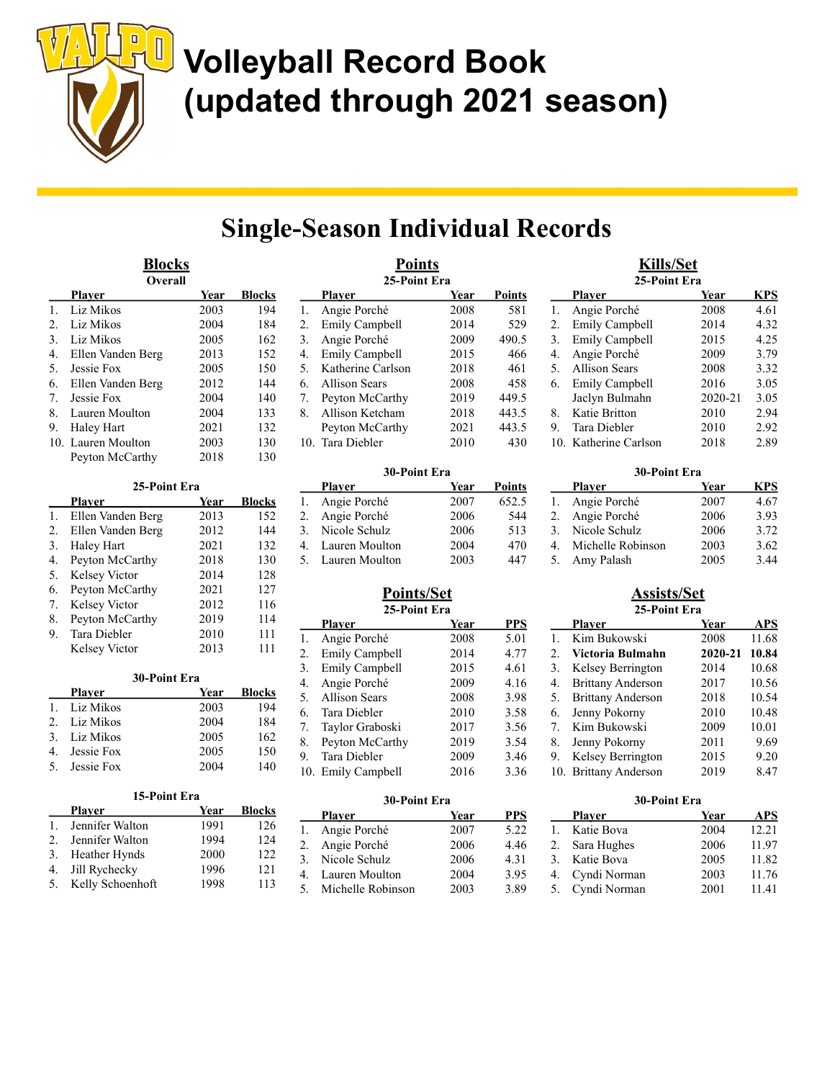

## Single-Season Individual Records

| <u>Blocks</u><br>Overall |                    |      |               |
|--------------------------|--------------------|------|---------------|
|                          | Plaver             | Year | <b>Blocks</b> |
| 1.                       | Liz Mikos          | 2003 | 194           |
| 2.                       | Liz Mikos          | 2004 | 184           |
| 3.                       | Liz Mikos          | 2005 | 162           |
| 4.                       | Ellen Vanden Berg  | 2013 | 152           |
| 5.                       | Jessie Fox         | 2005 | 150           |
| 6.                       | Ellen Vanden Berg  | 2012 | 144           |
| 7.                       | Jessie Fox         | 2004 | 140           |
| 8.                       | Lauren Moulton     | 2004 | 133           |
| 9.                       | Haley Hart         | 2021 | 132           |
|                          | 10. Lauren Moulton | 2003 | 130           |
|                          | Peyton McCarthy    | 2018 | 130           |

| 25-Point Era |                   |      |               |
|--------------|-------------------|------|---------------|
|              | Plaver            | Year | <b>Blocks</b> |
| 1.           | Ellen Vanden Berg | 2013 | 152           |
| 2.           | Ellen Vanden Berg | 2012 | 144           |
| 3.           | Haley Hart        | 2021 | 132           |
| 4.           | Peyton McCarthy   | 2018 | 130           |
| 5.           | Kelsey Victor     | 2014 | 128           |
| 6.           | Peyton McCarthy   | 2021 | 127           |
| 7.           | Kelsey Victor     | 2012 | 116           |
| 8.           | Peyton McCarthy   | 2019 | 114           |
| 9.           | Tara Diebler      | 2010 | 111           |
|              | Kelsey Victor     | 2013 | 111           |

| 30-Point Era  |               |      |               |
|---------------|---------------|------|---------------|
|               | Plaver        | Year | <b>Blocks</b> |
|               | Liz Mikos     | 2003 | 194           |
| $\mathcal{D}$ | Liz Mikos     | 2004 | 184           |
| $\mathcal{E}$ | Liz Mikos     | 2005 | 162           |
|               | Jessie Fox    | 2005 | 150           |
|               | 5. Jessie Fox | 2004 | 140           |

### 15-Point Era $\frac{15}{10}$

|             | <b>Player</b>    | Year | <b>Blocks</b> |
|-------------|------------------|------|---------------|
| 1.          | Jennifer Walton  | 1991 | 126           |
| $2_{\cdot}$ | Jennifer Walton  | 1994 | 124           |
| 3.          | Heather Hynds    | 2000 | 122.          |
| 4.          | Jill Rychecky    | 1996 | 121           |
| 5.          | Kelly Schoenhoft | 1998 | 113           |

| Points<br>25-Point Era |                       |      |               |
|------------------------|-----------------------|------|---------------|
|                        | Plaver                | Year | <b>Points</b> |
| 1.                     | Angie Porché          | 2008 | 581           |
| 2.                     | <b>Emily Campbell</b> | 2014 | 529           |
| 3.                     | Angie Porché          | 2009 | 490.5         |
| $\mathbf{4}$ .         | <b>Emily Campbell</b> | 2015 | 466           |
| 5.                     | Katherine Carlson     | 2018 | 461           |
| 6.                     | Allison Sears         | 2008 | 458           |
| 7.                     | Peyton McCarthy       | 2019 | 449.5         |
| 8.                     | Allison Ketcham       | 2018 | 443.5         |
|                        | Peyton McCarthy       | 2021 | 443.5         |
| 10.                    | Tara Diebler          | 2010 | 430           |

#### 30-Point Era

| <b>Player</b>     | Year | <b>Points</b> |
|-------------------|------|---------------|
| 1. Angie Porché   | 2007 | 652.5         |
| 2. Angie Porché   | 2006 | 544           |
| 3. Nicole Schulz  | 2006 | 513           |
| 4. Lauren Moulton | 2004 | 470           |
| 5. Lauren Moulton | 2003 | 447           |

#### Points/Set 25-Point Era

|    | 49-1 они ега          |      |            |
|----|-----------------------|------|------------|
|    | <b>Player</b>         | Year | <b>PPS</b> |
| 1. | Angie Porché          | 2008 | 5.01       |
| 2. | <b>Emily Campbell</b> | 2014 | 4.77       |
| 3. | <b>Emily Campbell</b> | 2015 | 4.61       |
| 4. | Angie Porché          | 2009 | 4.16       |
| 5. | <b>Allison Sears</b>  | 2008 | 3.98       |
| 6. | Tara Diebler          | 2010 | 3.58       |
| 7. | Taylor Graboski       | 2017 | 3.56       |
| 8. | Peyton McCarthy       | 2019 | 3.54       |
| 9. | Tara Diebler          | 2009 | 3.46       |
|    | 10. Emily Campbell    | 2016 | 3.36       |

| 30-Point Era |                   |      |      |
|--------------|-------------------|------|------|
|              | Plaver            | Year | PPS  |
| 1.           | Angie Porché      | 2007 | 5.22 |
| 2.           | Angie Porché      | 2006 | 4.46 |
| 3.           | Nicole Schulz     | 2006 | 4.31 |
| 4.           | Lauren Moulton    | 2004 | 3.95 |
| 5.           | Michelle Robinson | 2003 | 3.89 |

### Kills/Set 25-Point Era Player Year KPS

| 4.32 |
|------|
|      |
| 4.25 |
| 3.79 |
| 3.32 |
| 3.05 |
| 3.05 |
| 2.94 |
| 2.92 |
| 2.89 |
|      |

| 30-Point Era |                      |      |      |
|--------------|----------------------|------|------|
|              | <b>Player</b>        | Year | KPS  |
| 1.           | Angie Porché         | 2007 | 4.67 |
|              | 2. Angie Porché      | 2006 | 3.93 |
|              | 3. Nicole Schulz     | 2006 | 3.72 |
|              | 4. Michelle Robinson | 2003 | 3.62 |
|              | 5. Amy Palash        | 2005 | 3.44 |

#### Assists/Set 25-Point Era

|    | Plaver                   | Year    | <b>APS</b> |
|----|--------------------------|---------|------------|
| 1. | Kim Bukowski             | 2008    | 11.68      |
| 2. | Victoria Bulmahn         | 2020-21 | 10.84      |
| 3. | Kelsey Berrington        | 2014    | 10.68      |
| 4. | <b>Brittany Anderson</b> | 2017    | 10.56      |
| 5. | <b>Brittany Anderson</b> | 2018    | 10.54      |
| 6. | Jenny Pokorny            | 2010    | 10.48      |
| 7. | Kim Bukowski             | 2009    | 10.01      |
| 8. | Jenny Pokorny            | 2011    | 9.69       |
| 9. | Kelsey Berrington        | 2015    | 9.20       |
|    | 10. Brittany Anderson    | 2019    | 8.47       |

| 30-Point Era |              |      |            |
|--------------|--------------|------|------------|
|              | Plaver       | Year | <b>APS</b> |
| $1_{-}$      | Katie Bova   | 2004 | 12.21      |
| 2.           | Sara Hughes  | 2006 | 11.97      |
| 3.           | Katie Bova   | 2005 | 11.82      |
| 4.           | Cyndi Norman | 2003 | 11.76      |
| 5.           | Cyndi Norman | 2001 | 11.41      |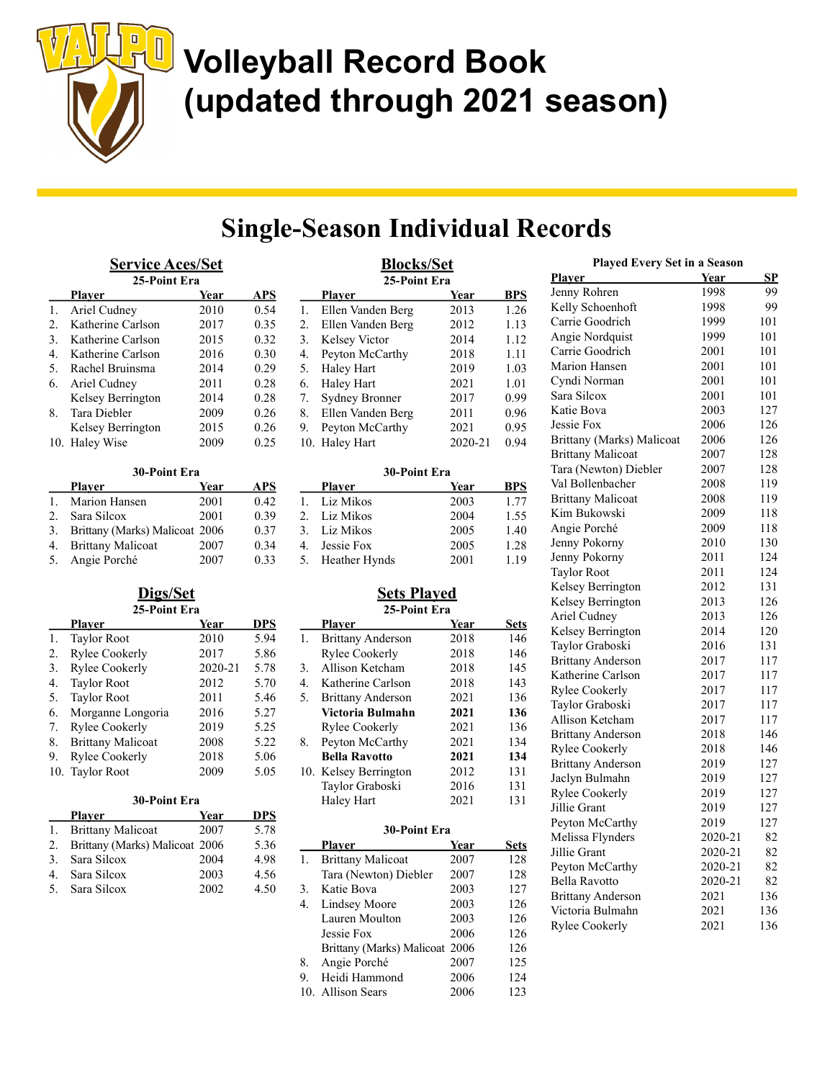

## Single-Season Individual Records

| <b>Service Aces/Set</b> |                               |      |      |
|-------------------------|-------------------------------|------|------|
|                         | 25-Point Era<br><b>Player</b> | Year | APS  |
| 1.                      | Ariel Cudney                  | 2010 | 0.54 |
| $\mathfrak{D}$          | Katherine Carlson             | 2017 | 0.35 |
| 3.                      | Katherine Carlson             | 2015 | 0.32 |
| 4.                      | Katherine Carlson             | 2016 | 0.30 |
| 5.                      | Rachel Bruinsma               | 2014 | 0.29 |
| 6.                      | Ariel Cudney                  | 2011 | 0.28 |
|                         | Kelsey Berrington             | 2014 | 0.28 |
| 8.                      | Tara Diebler                  | 2009 | 0.26 |
|                         | Kelsey Berrington             | 2015 | 0.26 |
|                         | 10. Haley Wise                | 2009 | 0.25 |

| 30-Point Era |                                |      |      |
|--------------|--------------------------------|------|------|
|              | Player                         | Year | APS  |
| 1.           | Marion Hansen                  | 2001 | 0.42 |
| 2.           | Sara Silcox                    | 2001 | 0.39 |
| 3.           | Brittany (Marks) Malicoat 2006 |      | 0.37 |
| 4.           | <b>Brittany Malicoat</b>       | 2007 | 0.34 |
| 5.           | Angie Porché                   | 2007 | 0.33 |

| Digs/Set |                          |         |            |
|----------|--------------------------|---------|------------|
|          | 25-Point Era             |         |            |
|          | Plaver                   | Year    | <b>DPS</b> |
| 1.       | <b>Taylor Root</b>       | 2010    | 5.94       |
| 2.       | <b>Rylee Cookerly</b>    | 2017    | 5.86       |
| 3.       | <b>Rylee Cookerly</b>    | 2020-21 | 5.78       |
| 4.       | <b>Taylor Root</b>       | 2012    | 5.70       |
| 5.       | <b>Taylor Root</b>       | 2011    | 5.46       |
| 6.       | Morganne Longoria        | 2016    | 5.27       |
| 7.       | <b>Rylee Cookerly</b>    | 2019    | 5.25       |
| 8.       | <b>Brittany Malicoat</b> | 2008    | 5.22       |
| 9.       | <b>Rylee Cookerly</b>    | 2018    | 5.06       |
| 10.      | <b>Taylor Root</b>       | 2009    | 5.05       |

| 30-Point Era |                                |      |            |
|--------------|--------------------------------|------|------------|
|              | <b>Player</b>                  | Year | <b>DPS</b> |
|              | <b>Brittany Malicoat</b>       | 2007 | 5.78       |
| 2.           | Brittany (Marks) Malicoat 2006 |      | 5.36       |
| 3.           | Sara Silcox                    | 2004 | 4.98       |
| 4.           | Sara Silcox                    | 2003 | 4.56       |
|              | Sara Silcox                    | 2002 | 4.50       |

|     | <b>Blocks/Set</b><br>25-Point Era |         |      |
|-----|-----------------------------------|---------|------|
|     | Player                            | Year    | BPS  |
| 1.  | Ellen Vanden Berg                 | 2013    | 1.26 |
| 2.  | Ellen Vanden Berg                 | 2012    | 1.13 |
| 3.  | Kelsey Victor                     | 2014    | 1.12 |
| 4.  | Peyton McCarthy                   | 2018    | 1.11 |
| 5.  | Haley Hart                        | 2019    | 1.03 |
| 6.  | Haley Hart                        | 2021    | 1.01 |
| 7.  | <b>Sydney Bronner</b>             | 2017    | 0.99 |
| 8.  | Ellen Vanden Berg                 | 2011    | 0.96 |
| 9.  | Peyton McCarthy                   | 2021    | 0.95 |
| 10. | Haley Hart                        | 2020-21 | 0.94 |

#### 30-Point Era

|                | <b>Player</b>    | Year | BPS  |
|----------------|------------------|------|------|
|                | Liz Mikos        | 2003 | 1.77 |
|                | 2. Liz Mikos     | 2004 | 1.55 |
|                | 3. Liz Mikos     | 2005 | 1.40 |
| 4 <sup>1</sup> | Jessie Fox       | 2005 | 1.28 |
|                | 5. Heather Hynds | 2001 | 1.19 |

#### Sets Played 25-Point Era

|    | <b>Player</b>            | Year | <b>Sets</b> |
|----|--------------------------|------|-------------|
| 1. | <b>Brittany Anderson</b> | 2018 | 146         |
|    | Rylee Cookerly           | 2018 | 146         |
| 3. | Allison Ketcham          | 2018 | 145         |
| 4. | Katherine Carlson        | 2018 | 143         |
| 5. | <b>Brittany Anderson</b> | 2021 | 136         |
|    | Victoria Bulmahn         | 2021 | 136         |
|    | Rylee Cookerly           | 2021 | 136         |
| 8. | Peyton McCarthy          | 2021 | 134         |
|    | <b>Bella Ravotto</b>     | 2021 | 134         |
|    | 10. Kelsey Berrington    | 2012 | 131         |
|    | Taylor Graboski          | 2016 | 131         |
|    | Haley Hart               | 2021 | 131         |
|    |                          |      |             |

#### 30-Point Era Player Year Sets 1. Brittany Malicoat 2007 128 Tara (Newton) Diebler 2007 128 3. Katie Bova 2003 127 4. Lindsey Moore 2003 126 Lauren Moulton 2003 126 Jessie Fox 2006 126 Brittany (Marks) Malicoat 2006 126 8. Angie Porché 2007 125 9. Heidi Hammond 2006 124 10. Allison Sears 2006 123

| <b>Played Every Set in a Season</b> |             |           |
|-------------------------------------|-------------|-----------|
| <u>Plaver</u>                       | <u>Year</u> | <u>SP</u> |
| Jenny Rohren                        | 1998        | 99        |
| Kelly Schoenhoft                    | 1998        | 99        |
| Carrie Goodrich                     | 1999        | 101       |
| Angie Nordquist                     | 1999        | 101       |
| Carrie Goodrich                     | 2001        | 101       |
| Marion Hansen                       | 2001        | 101       |
| Cyndi Norman                        | 2001        | 101       |
| Sara Silcox                         | 2001        | 101       |
| Katie Bova                          | 2003        | 127       |
| Jessie Fox                          | 2006        | 126       |
| Brittany (Marks) Malicoat           | 2006        | 126       |
| <b>Brittany Malicoat</b>            | 2007        | 128       |
| Tara (Newton) Diebler               | 2007        | 128       |
| Val Bollenbacher                    | 2008        | 119       |
| <b>Brittany Malicoat</b>            | 2008        | 119       |
| Kim Bukowski                        | 2009        | 118       |
| Angie Porché                        | 2009        | 118       |
| Jenny Pokorny                       | 2010        | 130       |
| Jenny Pokorny                       | 2011        | 124       |
| <b>Taylor Root</b>                  | 2011        | 124       |
| Kelsey Berrington                   | 2012        | 131       |
| Kelsey Berrington                   | 2013        | 126       |
| Ariel Cudney                        | 2013        | 126       |
| Kelsey Berrington                   | 2014        | 120       |
| Taylor Graboski                     | 2016        | 131       |
| <b>Brittany Anderson</b>            | 2017        | 117       |
| Katherine Carlson                   | 2017        | 117       |
| <b>Rylee Cookerly</b>               | 2017        | 117       |
| Taylor Graboski                     | 2017        | 117       |
| Allison Ketcham                     | 2017        | 117       |
| <b>Brittany Anderson</b>            | 2018        | 146       |
| <b>Rylee Cookerly</b>               | 2018        | 146       |
| <b>Brittany Anderson</b>            | 2019        | 127       |
| Jaclyn Bulmahn                      | 2019        | 127       |
| <b>Rylee Cookerly</b>               | 2019        | 127       |
| Jillie Grant                        | 2019        | 127       |
| Peyton McCarthy                     | 2019        | 127       |
| Melissa Flynders                    | 2020-21     | 82        |
| Jillie Grant                        | 2020-21     | 82        |
| Peyton McCarthy                     | 2020-21     | 82        |
| <b>Bella Ravotto</b>                | 2020-21     | 82        |
| <b>Brittany Anderson</b>            | 2021        | 136       |
| Victoria Bulmahn                    | 2021        | 136       |
| <b>Rylee Cookerly</b>               | 2021        | 136       |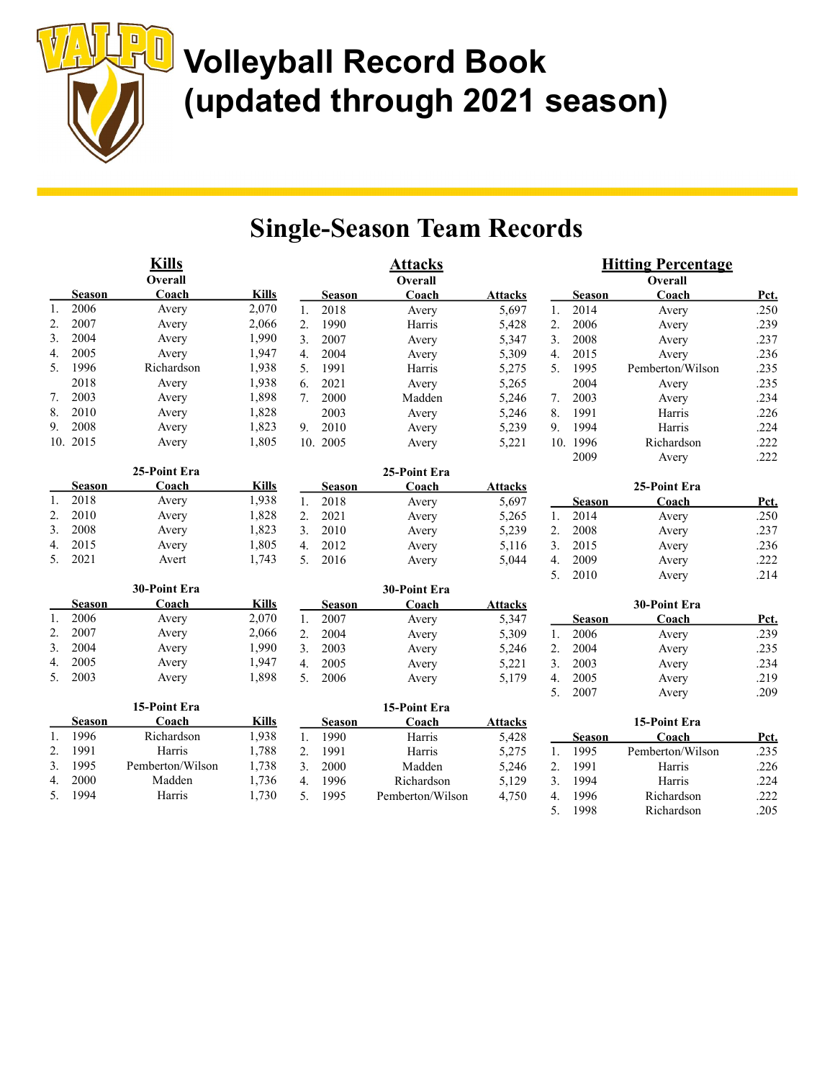| <b>Kills</b><br>Overall |               |                  |              | <b>Attacks</b><br>Overall |               |                  |                | <b>Hitting Percentage</b><br>Overall |               |                  |      |
|-------------------------|---------------|------------------|--------------|---------------------------|---------------|------------------|----------------|--------------------------------------|---------------|------------------|------|
|                         | Season        | Coach            | <b>Kills</b> |                           | <b>Season</b> | Coach            | <b>Attacks</b> |                                      | <b>Season</b> | Coach            | Pct. |
| 1.                      | 2006          | Avery            | 2,070        | 1.                        | 2018          | Avery            | 5,697          | 1.                                   | 2014          | Avery            | .250 |
| 2.                      | 2007          | Avery            | 2,066        | 2.                        | 1990          | Harris           | 5,428          | 2.                                   | 2006          | Avery            | .239 |
| 3.                      | 2004          | Avery            | 1,990        | 3.                        | 2007          | Avery            | 5,347          | 3.                                   | 2008          | Avery            | .237 |
| 4.                      | 2005          | Avery            | 1,947        | 4.                        | 2004          | Avery            | 5,309          | $\overline{4}$ .                     | 2015          | Avery            | .236 |
| 5.                      | 1996          | Richardson       | 1,938        | 5.                        | 1991          | Harris           | 5,275          | 5.                                   | 1995          | Pemberton/Wilson | .235 |
|                         | 2018          | Avery            | 1,938        | 6.                        | 2021          | Avery            | 5,265          |                                      | 2004          | Avery            | .235 |
| 7.                      | 2003          | Avery            | 1,898        | 7.                        | 2000          | Madden           | 5,246          | 7.                                   | 2003          | Avery            | .234 |
| 8.                      | 2010          | Avery            | 1,828        |                           | 2003          | Avery            | 5,246          | 8.                                   | 1991          | Harris           | .226 |
| 9.                      | 2008          | Avery            | 1,823        | 9.                        | 2010          | Avery            | 5,239          | 9.                                   | 1994          | Harris           | .224 |
|                         | 10. 2015      | Avery            | 1,805        |                           | 10. 2005      | Avery            | 5,221          |                                      | 10. 1996      | Richardson       | .222 |
|                         |               |                  |              |                           |               |                  |                |                                      | 2009          | Avery            | .222 |
|                         |               | 25-Point Era     |              |                           |               | 25-Point Era     |                |                                      |               |                  |      |
|                         | <b>Season</b> | Coach            | <b>Kills</b> |                           | <b>Season</b> | Coach            | <b>Attacks</b> |                                      |               | 25-Point Era     |      |
| 1.                      | 2018          | Avery            | 1,938        | 1.                        | 2018          | Avery            | 5,697          |                                      | Season        | Coach            | Pct. |
| $\mathbf{2}$ .          | 2010          | Avery            | 1,828        | 2.                        | 2021          | Avery            | 5,265          | 1.                                   | 2014          | Avery            | .250 |
| 3.                      | 2008          | Avery            | 1,823        | 3.                        | 2010          | Avery            | 5,239          | 2.                                   | 2008          | Avery            | .237 |
| 4.                      | 2015          | Avery            | 1,805        | $\overline{4}$ .          | 2012          | Avery            | 5,116          | 3.                                   | 2015          | Avery            | .236 |
| 5.                      | 2021          | Avert            | 1,743        | 5.                        | 2016          | Avery            | 5,044          | $\overline{4}$ .                     | 2009          | Avery            | .222 |
|                         |               |                  |              |                           |               |                  |                | 5.                                   | 2010          | Avery            | .214 |
|                         |               | 30-Point Era     |              |                           |               | 30-Point Era     |                |                                      |               |                  |      |
|                         | Season        | Coach            | <b>Kills</b> |                           | <b>Season</b> | Coach            | <b>Attacks</b> |                                      |               | 30-Point Era     |      |
| 1.                      | 2006          | Avery            | 2,070        | 1.                        | 2007          | Avery            | 5,347          |                                      | Season        | Coach            | Pct. |
| 2.                      | 2007          | Avery            | 2,066        | 2.                        | 2004          | Avery            | 5,309          | 1.                                   | 2006          | Avery            | .239 |
| 3.                      | 2004          | Avery            | 1,990        | 3.                        | 2003          | Avery            | 5,246          | 2.                                   | 2004          | Avery            | .235 |
| 4.                      | 2005          | Avery            | 1,947        | $\overline{4}$ .          | 2005          | Avery            | 5,221          | 3.                                   | 2003          | Avery            | .234 |
| 5.                      | 2003          | Avery            | 1,898        | 5.                        | 2006          | Avery            | 5,179          | $\overline{4}$ .                     | 2005          | Avery            | .219 |
|                         |               |                  |              |                           |               |                  |                | 5.                                   | 2007          | Avery            | .209 |
|                         |               | 15-Point Era     |              |                           |               | 15-Point Era     |                |                                      |               |                  |      |
|                         | <b>Season</b> | Coach            | <b>Kills</b> |                           | <b>Season</b> | Coach            | <b>Attacks</b> |                                      |               | 15-Point Era     |      |
| 1.                      | 1996          | Richardson       | 1,938        | 1.                        | 1990          | Harris           | 5,428          |                                      | <b>Season</b> | Coach            | Pct. |
| 2.                      | 1991          | Harris           | 1,788        | 2.                        | 1991          | Harris           | 5,275          | 1.                                   | 1995          | Pemberton/Wilson | .235 |
| 3.                      | 1995          | Pemberton/Wilson | 1,738        | 3.                        | 2000          | Madden           | 5,246          | 2.                                   | 1991          | Harris           | .226 |
| 4.                      | 2000          | Madden           | 1,736        | 4.                        | 1996          | Richardson       | 5,129          | 3.                                   | 1994          | Harris           | .224 |
| 5.                      | 1994          | Harris           | 1,730        | 5.                        | 1995          | Pemberton/Wilson | 4,750          | 4.                                   | 1996          | Richardson       | .222 |
|                         |               |                  |              |                           |               |                  |                | $\overline{5}$ .                     | 1998          | Richardson       | .205 |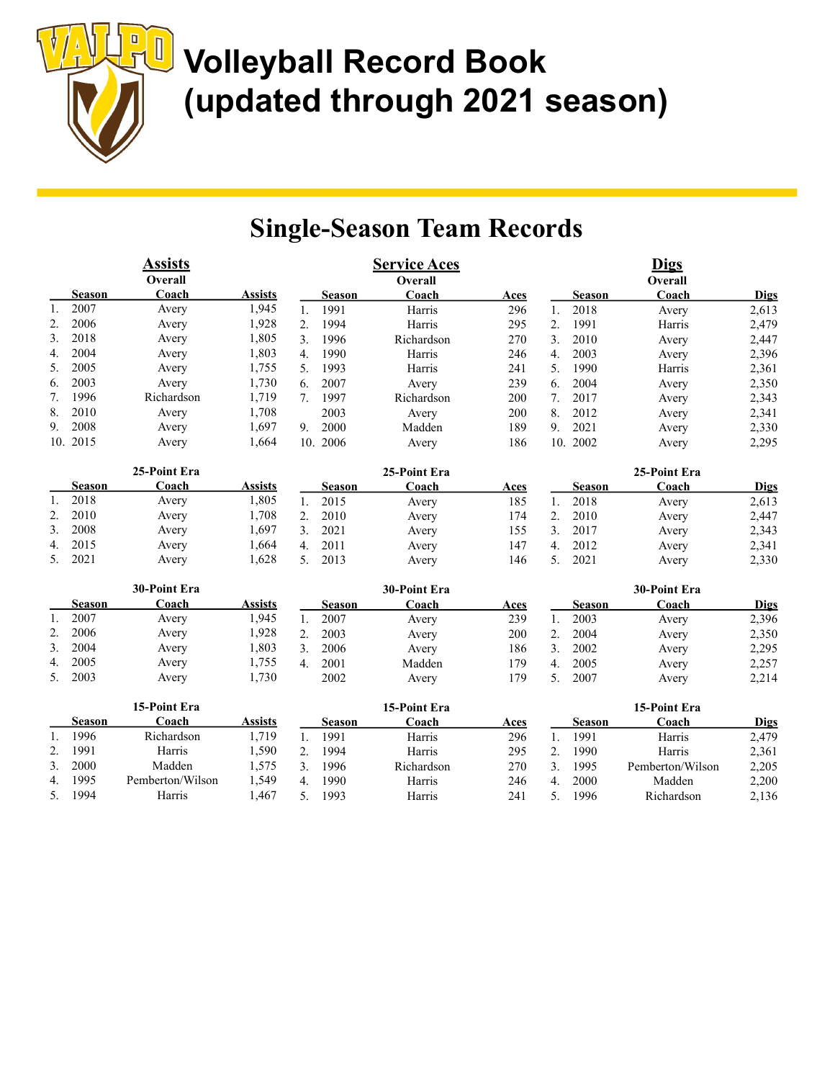|    |               | <b>Assists</b><br>Overall |                |                  |               | <b>Service Aces</b><br>Overall |      |                  |               | <b>Digs</b><br>Overall |             |
|----|---------------|---------------------------|----------------|------------------|---------------|--------------------------------|------|------------------|---------------|------------------------|-------------|
|    | <b>Season</b> | Coach                     | <b>Assists</b> |                  | <b>Season</b> | Coach                          | Aces |                  | <b>Season</b> | Coach                  | <b>Digs</b> |
| 1. | 2007          | Avery                     | 1,945          | 1.               | 1991          | Harris                         | 296  | 1.               | 2018          | Avery                  | 2,613       |
| 2. | 2006          | Avery                     | 1,928          | 2.               | 1994          | Harris                         | 295  | 2.               | 1991          | Harris                 | 2,479       |
| 3. | 2018          | Avery                     | 1,805          | 3.               | 1996          | Richardson                     | 270  | 3.               | 2010          | Avery                  | 2,447       |
| 4. | 2004          | Avery                     | 1,803          | 4.               | 1990          | Harris                         | 246  | $\overline{4}$ . | 2003          | Avery                  | 2,396       |
| 5. | 2005          | Avery                     | 1,755          | 5.               | 1993          | Harris                         | 241  | 5.               | 1990          | Harris                 | 2,361       |
| 6. | 2003          | Avery                     | 1,730          | 6.               | 2007          | Avery                          | 239  | 6.               | 2004          | Avery                  | 2,350       |
| 7. | 1996          | Richardson                | 1,719          | 7.               | 1997          | Richardson                     | 200  | 7.               | 2017          | Avery                  | 2,343       |
| 8. | 2010          | Avery                     | 1,708          |                  | 2003          | Avery                          | 200  | 8.               | 2012          | Avery                  | 2,341       |
| 9. | 2008          | Avery                     | 1,697          | 9.               | 2000          | Madden                         | 189  | 9.               | 2021          | Avery                  | 2,330       |
|    | 10. 2015      | Avery                     | 1,664          |                  | 10. 2006      | Avery                          | 186  | 10.              | 2002          | Avery                  | 2,295       |
|    |               | 25-Point Era              |                |                  |               | 25-Point Era                   |      |                  |               | 25-Point Era           |             |
|    | <b>Season</b> | Coach                     | <b>Assists</b> |                  | <b>Season</b> | Coach                          | Aces |                  | <b>Season</b> | Coach                  | <b>Digs</b> |
| 1. | 2018          | Avery                     | 1,805          | 1.               | 2015          | Avery                          | 185  | 1.               | 2018          | Avery                  | 2,613       |
| 2. | 2010          | Avery                     | 1,708          | 2.               | 2010          | Avery                          | 174  | 2.               | 2010          | Avery                  | 2,447       |
| 3. | 2008          | Avery                     | 1,697          | 3.               | 2021          | Avery                          | 155  | 3.               | 2017          | Avery                  | 2,343       |
| 4. | 2015          | Avery                     | 1,664          | 4.               | 2011          | Avery                          | 147  | $\overline{4}$ . | 2012          | Avery                  | 2,341       |
| 5. | 2021          | Avery                     | 1,628          | 5.               | 2013          | Avery                          | 146  | 5.               | 2021          | Avery                  | 2,330       |
|    |               | 30-Point Era              |                |                  |               | 30-Point Era                   |      |                  |               | 30-Point Era           |             |
|    | <b>Season</b> | Coach                     | <b>Assists</b> |                  | <b>Season</b> | Coach                          | Aces |                  | <b>Season</b> | Coach                  | <b>Digs</b> |
| 1. | 2007          | Avery                     | 1,945          | 1.               | 2007          | Avery                          | 239  | 1.               | 2003          | Avery                  | 2,396       |
| 2. | 2006          | Avery                     | 1,928          | 2.               | 2003          | Avery                          | 200  | 2.               | 2004          | Avery                  | 2,350       |
| 3. | 2004          | Avery                     | 1,803          | 3.               | 2006          | Avery                          | 186  | 3.               | 2002          | Avery                  | 2,295       |
| 4. | 2005          | Avery                     | 1,755          | $\overline{4}$ . | 2001          | Madden                         | 179  | $\overline{4}$ . | 2005          | Avery                  | 2,257       |
| 5. | 2003          | Avery                     | 1,730          |                  | 2002          | Avery                          | 179  | 5.               | 2007          | Avery                  | 2,214       |
|    |               | 15-Point Era              |                |                  |               | 15-Point Era                   |      |                  |               | 15-Point Era           |             |
|    | <b>Season</b> | Coach                     | <b>Assists</b> |                  | <b>Season</b> | Coach                          | Aces |                  | <b>Season</b> | Coach                  | <b>Digs</b> |
| 1. | 1996          | Richardson                | 1,719          | 1.               | 1991          | Harris                         | 296  | 1.               | 1991          | Harris                 | 2,479       |
| 2. | 1991          | Harris                    | 1,590          | 2.               | 1994          | Harris                         | 295  | 2.               | 1990          | Harris                 | 2,361       |
| 3. | 2000          | Madden                    | 1,575          | 3.               | 1996          | Richardson                     | 270  | 3.               | 1995          | Pemberton/Wilson       | 2,205       |
| 4. | 1995          | Pemberton/Wilson          | 1,549          | 4.               | 1990          | Harris                         | 246  | 4.               | 2000          | Madden                 | 2,200       |
| 5. | 1994          | Harris                    | 1,467          | 5.               | 1993          | Harris                         | 241  | 5.               | 1996          | Richardson             | 2,136       |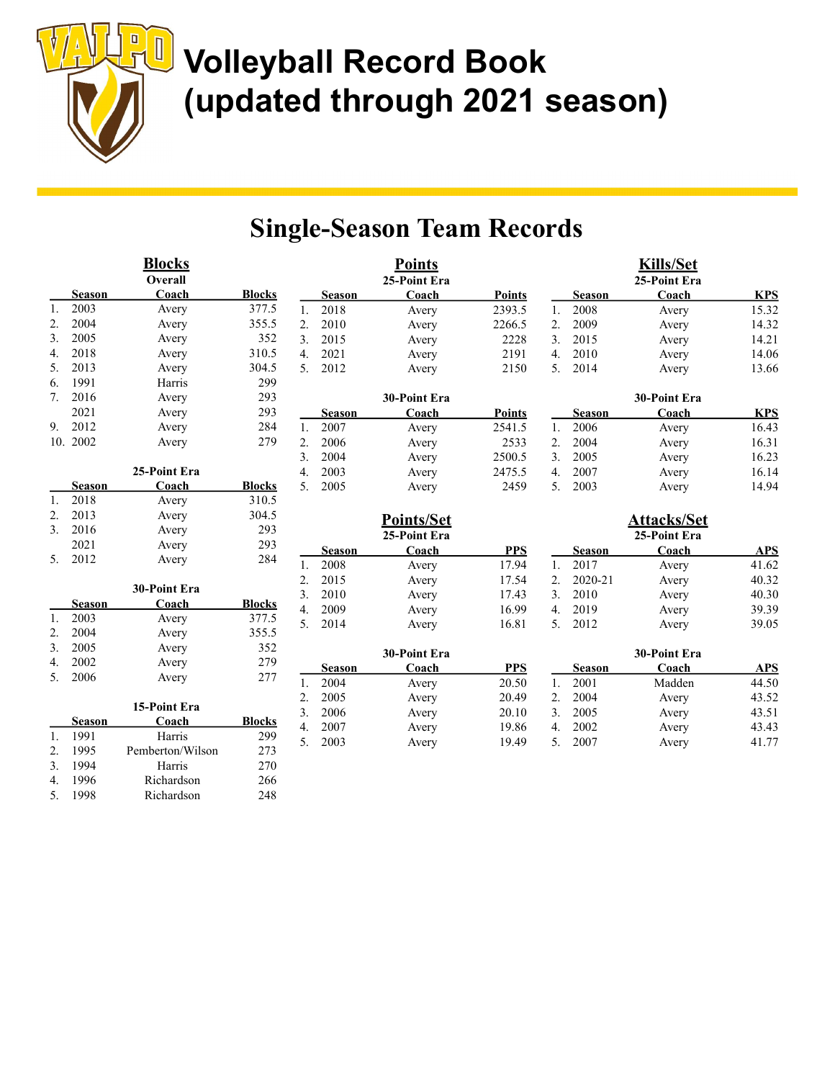|    |               | <b>Blocks</b>    |               |                |               | <b>Points</b> |               |    |               | <b>Kills/Set</b>   |            |
|----|---------------|------------------|---------------|----------------|---------------|---------------|---------------|----|---------------|--------------------|------------|
|    |               | Overall          |               |                |               | 25-Point Era  |               |    |               | 25-Point Era       |            |
|    | <b>Season</b> | Coach            | <b>Blocks</b> |                | <b>Season</b> | Coach         | <b>Points</b> |    | <b>Season</b> | Coach              | <b>KPS</b> |
| 1. | 2003          | Avery            | 377.5         | 1.             | 2018          | Avery         | 2393.5        | 1. | 2008          | Avery              | 15.32      |
| 2. | 2004          | Avery            | 355.5         | 2.             | 2010          | Avery         | 2266.5        | 2. | 2009          | Avery              | 14.32      |
| 3. | 2005          | Avery            | 352           | 3.             | 2015          | Avery         | 2228          | 3. | 2015          | Avery              | 14.21      |
| 4. | 2018          | Avery            | 310.5         | 4.             | 2021          | Avery         | 2191          | 4. | 2010          | Avery              | 14.06      |
| 5. | 2013          | Avery            | 304.5         | 5.             | 2012          | Avery         | 2150          | 5. | 2014          | Avery              | 13.66      |
| 6. | 1991          | Harris           | 299           |                |               |               |               |    |               |                    |            |
| 7. | 2016          | Avery            | 293           |                |               | 30-Point Era  |               |    |               | 30-Point Era       |            |
|    | 2021          | Avery            | 293           |                | <b>Season</b> | Coach         | <b>Points</b> |    | <b>Season</b> | Coach              | <b>KPS</b> |
| 9. | 2012          | Avery            | 284           | 1.             | 2007          | Avery         | 2541.5        | 1. | 2006          | Avery              | 16.43      |
|    | 10. 2002      | Avery            | 279           | 2.             | 2006          | Avery         | 2533          | 2. | 2004          | Avery              | 16.31      |
|    |               |                  |               | 3.             | 2004          | Avery         | 2500.5        | 3. | 2005          | Avery              | 16.23      |
|    |               | 25-Point Era     |               | 4.             | 2003          | Avery         | 2475.5        | 4. | 2007          | Avery              | 16.14      |
|    | <b>Season</b> | Coach            | <b>Blocks</b> | 5 <sub>1</sub> | 2005          | Avery         | 2459          | 5. | 2003          | Avery              | 14.94      |
| 1. | 2018          | Avery            | 310.5         |                |               |               |               |    |               |                    |            |
| 2. | 2013          | Avery            | 304.5         |                |               | Points/Set    |               |    |               | <b>Attacks/Set</b> |            |
| 3. | 2016          | Avery            | 293           |                |               | 25-Point Era  |               |    |               | 25-Point Era       |            |
|    | 2021          | Avery            | 293           |                | <b>Season</b> | Coach         | <b>PPS</b>    |    | <b>Season</b> | Coach              | <b>APS</b> |
| 5. | 2012          | Avery            | 284           | 1.             | 2008          | Avery         | 17.94         | 1. | 2017          | Avery              | 41.62      |
|    |               |                  |               | 2.             | 2015          | Avery         | 17.54         | 2. | 2020-21       | Avery              | 40.32      |
|    |               | 30-Point Era     |               | 3.             | 2010          | Avery         | 17.43         | 3. | 2010          | Avery              | 40.30      |
|    | <b>Season</b> | Coach            | <b>Blocks</b> | 4.             | 2009          | Avery         | 16.99         | 4. | 2019          | Avery              | 39.39      |
| 1. | 2003          | Avery            | 377.5         | 5.             | 2014          | Avery         | 16.81         | 5. | 2012          | Avery              | 39.05      |
| 2. | 2004          | Avery            | 355.5         |                |               |               |               |    |               |                    |            |
| 3. | 2005          | Avery            | 352           |                |               | 30-Point Era  |               |    |               | 30-Point Era       |            |
| 4. | 2002          | Avery            | 279           |                | <b>Season</b> | Coach         | <b>PPS</b>    |    | <b>Season</b> | Coach              | <b>APS</b> |
| 5. | 2006          | Avery            | 277           | 1.             | 2004          | Avery         | 20.50         | 1. | 2001          | Madden             | 44.50      |
|    |               |                  |               | 2.             | 2005          | Avery         | 20.49         | 2. | 2004          | Avery              | 43.52      |
|    |               | 15-Point Era     |               | 3.             | 2006          | Avery         | 20.10         | 3. | 2005          | Avery              | 43.51      |
|    | <b>Season</b> | Coach            | <b>Blocks</b> | 4.             | 2007          | Avery         | 19.86         | 4. | 2002          | Avery              | 43.43      |
| 1. | 1991          | Harris           | 299           | 5.             | 2003          | Avery         | 19.49         | 5. | 2007          | Avery              | 41.77      |
| 2. | 1995          | Pemberton/Wilson | 273           |                |               |               |               |    |               |                    |            |
| 3. | 1994          | Harris           | 270           |                |               |               |               |    |               |                    |            |
| 4. | 1996          | Richardson       | 266           |                |               |               |               |    |               |                    |            |
| 5. | 1998          | Richardson       | 248           |                |               |               |               |    |               |                    |            |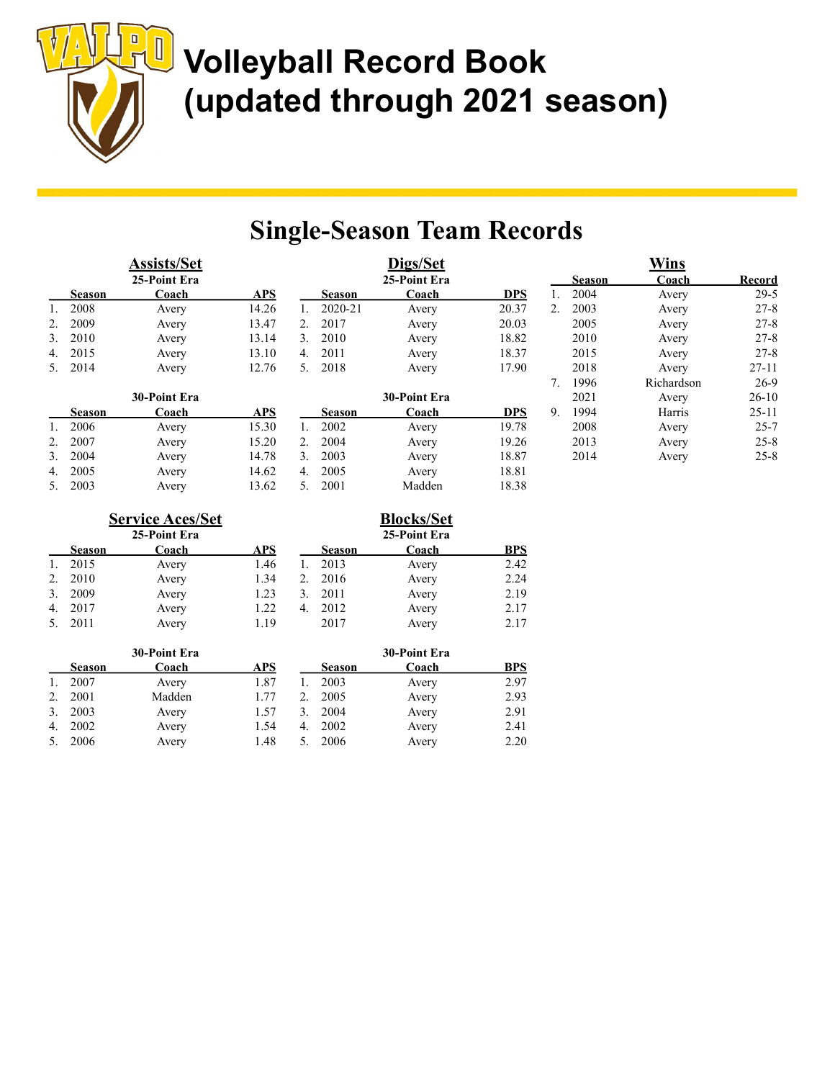

| <u>Assists/Set</u> |               |              |            |    | Digs/Set      |              |            |    | <b>Wins</b>   |            |               |  |
|--------------------|---------------|--------------|------------|----|---------------|--------------|------------|----|---------------|------------|---------------|--|
|                    |               | 25-Point Era |            |    |               | 25-Point Era |            |    | <b>Season</b> | Coach      | <b>Record</b> |  |
|                    | <b>Season</b> | Coach        | <b>APS</b> |    | <b>Season</b> | Coach        | <b>DPS</b> |    | 2004          | Avery      | $29-5$        |  |
|                    | 2008          | Avery        | 14.26      |    | 2020-21       | Avery        | 20.37      | 2. | 2003          | Avery      | $27 - 8$      |  |
|                    | 2009          | Avery        | 13.47      | 2. | 2017          | Avery        | 20.03      |    | 2005          | Avery      | $27 - 8$      |  |
| 3.                 | 2010          | Avery        | 13.14      | 3. | 2010          | Avery        | 18.82      |    | 2010          | Avery      | $27 - 8$      |  |
| 4.                 | 2015          | Avery        | 13.10      | 4. | 2011          | Avery        | 18.37      |    | 2015          | Avery      | $27 - 8$      |  |
|                    | 5. 2014       | Avery        | 12.76      | 5. | 2018          | Avery        | 17.90      |    | 2018          | Avery      | $27 - 11$     |  |
|                    |               |              |            |    |               |              |            |    | 1996          | Richardson | $26-9$        |  |
|                    |               | 30-Point Era |            |    |               | 30-Point Era |            |    | 2021          | Avery      | $26-10$       |  |
|                    | <b>Season</b> | Coach        | <b>APS</b> |    | <b>Season</b> | Coach        | <b>DPS</b> | 9. | 1994          | Harris     | $25 - 11$     |  |
|                    | 2006          | Avery        | 15.30      | 1. | 2002          | Avery        | 19.78      |    | 2008          | Avery      | $25 - 7$      |  |
|                    | 2007          | Avery        | 15.20      | 2. | 2004          | Avery        | 19.26      |    | 2013          | Avery      | $25 - 8$      |  |
| 3.                 | 2004          | Avery        | 14.78      | 3. | 2003          | Avery        | 18.87      |    | 2014          | Avery      | $25 - 8$      |  |
| 4.                 | 2005          | Avery        | 14.62      | 4. | 2005          | Avery        | 18.81      |    |               |            |               |  |
| 5.                 | 2003          | Avery        | 13.62      | 5. | 2001          | Madden       | 18.38      |    |               |            |               |  |

|    |               | <b>Service Aces/Set</b><br>25-Point Era |      | <b>Blocks/Set</b><br>25-Point Era |               |       |            |  |  |  |
|----|---------------|-----------------------------------------|------|-----------------------------------|---------------|-------|------------|--|--|--|
|    | <b>Season</b> | Coach                                   | APS  |                                   | <b>Season</b> | Coach | <b>BPS</b> |  |  |  |
|    | 2015          | Avery                                   | 1.46 |                                   | 2013          | Avery | 2.42       |  |  |  |
| 2. | 2010          | Avery                                   | 1.34 | 2.                                | 2016          | Avery | 2.24       |  |  |  |
| 3. | 2009          | Avery                                   | 1.23 | 3.                                | 2011          | Avery | 2.19       |  |  |  |
| 4. | 2017          | Avery                                   | 1.22 | 4.                                | 2012          | Avery | 2.17       |  |  |  |
|    | 2011          | Avery                                   | 1.19 |                                   | 2017          | Avery | 2.17       |  |  |  |

|               | 30-Point Era |            |    |               | 30-Point Era |            |
|---------------|--------------|------------|----|---------------|--------------|------------|
| <b>Season</b> | Coach        | <b>APS</b> |    | <b>Season</b> | Coach        | <b>BPS</b> |
| 2007          | Avery        | 1.87       |    | 2003          | Avery        | 2.97       |
| 2001          | Madden       | 1.77       |    | 2005          | Avery        | 2.93       |
| 2003          | Avery        | 1.57       |    | 2004          | Avery        | 2.91       |
| 2002          | Avery        | 1.54       | 4. | 2002          | Avery        | 2.41       |
| 2006          | Avery        | 1.48       |    | 2006          | Avery        | 2.20       |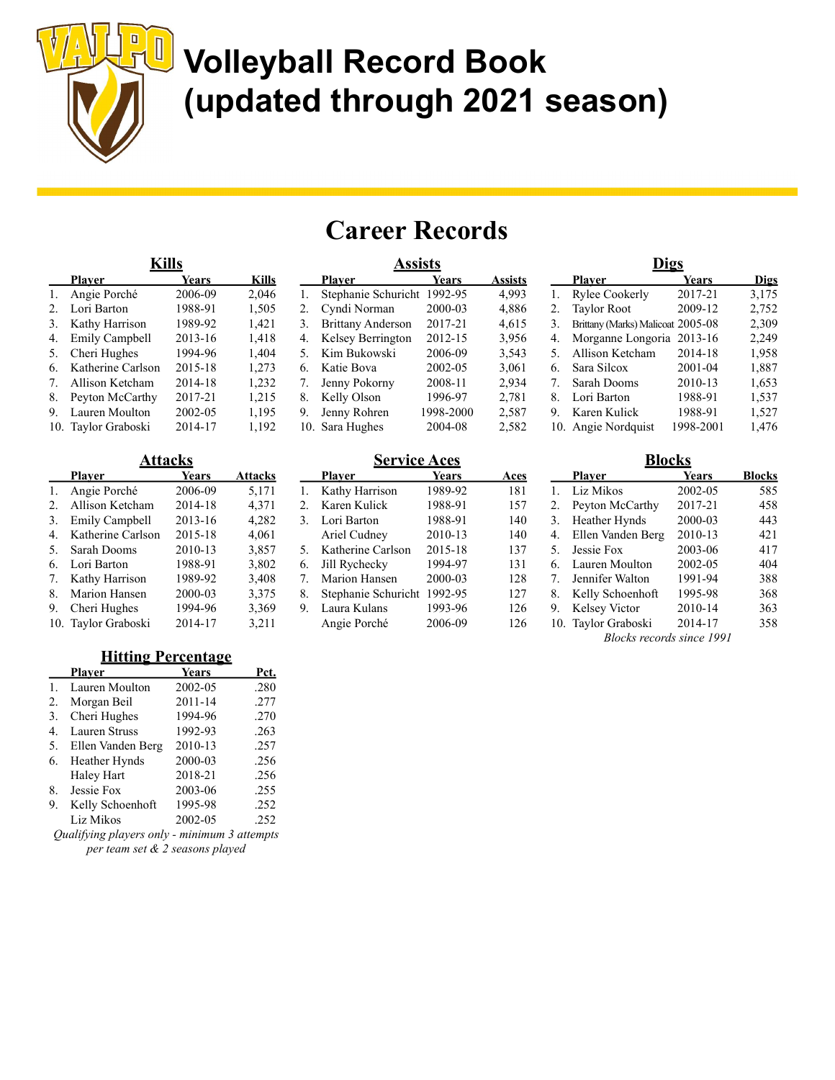

## Career Records

|    | <b>Kills</b>        |         |              |    | Assists                     |           | <b>Digs</b>    |    |                                   |           |             |
|----|---------------------|---------|--------------|----|-----------------------------|-----------|----------------|----|-----------------------------------|-----------|-------------|
|    | <b>Plaver</b>       | Years   | <b>Kills</b> |    | <b>Player</b>               | Years     | <b>Assists</b> |    | <b>Plaver</b>                     | Years     | <b>Digs</b> |
|    | Angie Porché        | 2006-09 | 2.046        |    | Stephanie Schuricht 1992-95 |           | 4,993          |    | Rylee Cookerly                    | 2017-21   | 3.175       |
|    | Lori Barton         | 1988-91 | 1,505        | 2. | Cyndi Norman                | 2000-03   | 4,886          | 2. | <b>Taylor Root</b>                | 2009-12   | 2,752       |
| 3. | Kathy Harrison      | 1989-92 | 1,421        | 3. | Brittany Anderson           | 2017-21   | 4.615          | 3. | Brittany (Marks) Malicoat 2005-08 |           | 2,309       |
| 4. | Emily Campbell      | 2013-16 | 1,418        | 4. | Kelsey Berrington           | 2012-15   | 3,956          | 4. | Morganne Longoria 2013-16         |           | 2,249       |
| 5. | Cheri Hughes        | 1994-96 | 1.404        | 5. | Kim Bukowski                | 2006-09   | 3,543          | 5. | Allison Ketcham                   | 2014-18   | 1,958       |
| 6. | Katherine Carlson   | 2015-18 | 1.273        | 6. | Katie Bova                  | 2002-05   | 3.061          | 6. | Sara Silcox                       | 2001-04   | 1,887       |
|    | Allison Ketcham     | 2014-18 | 1,232        | 7. | Jenny Pokorny               | 2008-11   | 2.934          |    | Sarah Dooms                       | 2010-13   | 1,653       |
| 8. | Peyton McCarthy     | 2017-21 | 1,215        | 8. | Kelly Olson                 | 1996-97   | 2.781          | 8. | Lori Barton                       | 1988-91   | 1,537       |
| 9. | Lauren Moulton      | 2002-05 | 1,195        | 9. | Jenny Rohren                | 1998-2000 | 2.587          | 9. | Karen Kulick                      | 1988-91   | 1.527       |
|    | 10. Taylor Graboski | 2014-17 | 1.192        |    | 10. Sara Hughes             | 2004-08   | 2.582          |    | 10. Angie Nordquist               | 1998-2001 | 1.476       |

|     | Attacks               |              |                |  |  |  |  |  |  |  |  |
|-----|-----------------------|--------------|----------------|--|--|--|--|--|--|--|--|
|     | <b>Player</b>         | <b>Years</b> | <b>Attacks</b> |  |  |  |  |  |  |  |  |
| 1.  | Angie Porché          | 2006-09      | 5,171          |  |  |  |  |  |  |  |  |
| 2.  | Allison Ketcham       | 2014-18      | 4,371          |  |  |  |  |  |  |  |  |
| 3.  | <b>Emily Campbell</b> | 2013-16      | 4,282          |  |  |  |  |  |  |  |  |
| 4.  | Katherine Carlson     | 2015-18      | 4,061          |  |  |  |  |  |  |  |  |
| 5.  | Sarah Dooms           | 2010-13      | 3,857          |  |  |  |  |  |  |  |  |
| 6.  | Lori Barton           | 1988-91      | 3,802          |  |  |  |  |  |  |  |  |
| 7.  | Kathy Harrison        | 1989-92      | 3,408          |  |  |  |  |  |  |  |  |
| 8.  | Marion Hansen         | 2000-03      | 3,375          |  |  |  |  |  |  |  |  |
| 9.  | Cheri Hughes          | 1994-96      | 3,369          |  |  |  |  |  |  |  |  |
| 10. | Taylor Graboski       | 2014-17      | 3,211          |  |  |  |  |  |  |  |  |

### **Hitting Percentage**

|    | Plaver               | <b>Years</b> | Pct. |
|----|----------------------|--------------|------|
| 1. | Lauren Moulton       | 2002-05      | .280 |
| 2. | Morgan Beil          | 2011-14      | .277 |
| 3. | Cheri Hughes         | 1994-96      | .270 |
| 4. | <b>Lauren Struss</b> | 1992-93      | .263 |
| 5. | Ellen Vanden Berg    | 2010-13      | .257 |
| 6. | Heather Hynds        | 2000-03      | .256 |
|    | Haley Hart           | 2018-21      | .256 |
| 8. | Jessie Fox           | 2003-06      | .255 |
| 9. | Kelly Schoenhoft     | 1995-98      | .252 |
|    | Liz Mikos            | 2002-05      | .252 |

Qualifying players only - minimum 3 attempts per team set & 2 seasons played

### Service Aces

|    | Plaver              | Years   | Aces |
|----|---------------------|---------|------|
| 1. | Kathy Harrison      | 1989-92 | 181  |
| 2. | Karen Kulick        | 1988-91 | 157  |
| 3. | Lori Barton         | 1988-91 | 140  |
|    | Ariel Cudney        | 2010-13 | 140  |
| 5. | Katherine Carlson   | 2015-18 | 137  |
| 6. | Jill Rychecky       | 1994-97 | 131  |
| 7. | Marion Hansen       | 2000-03 | 128  |
| 8. | Stephanie Schuricht | 1992-95 | 127  |
| 9. | Laura Kulans        | 1993-96 | 126  |
|    | Angie Porché        | 2006-09 | 126  |

| 4. | Morganne Longoria   | 2013-16   | 2,249         |
|----|---------------------|-----------|---------------|
| 5. | Allison Ketcham     | 2014-18   | 1,958         |
| 6. | Sara Silcox         | 2001-04   | 1,887         |
| 7. | Sarah Dooms         | 2010-13   | 1,653         |
| 8. | Lori Barton         | 1988-91   | 1,537         |
| 9. | Karen Kulick        | 1988-91   | 1,527         |
|    | 10. Angie Nordquist | 1998-2001 | 1,476         |
|    | <b>Blocks</b>       |           |               |
|    | <b>Player</b>       | Years     | <b>Blocks</b> |
|    | Liz Mikos           | 2002-05   | 585           |
| ⌒  | ו הזו ח             | 2017.21   | 100           |

|    | .  . <b></b>        | .       | ------ |
|----|---------------------|---------|--------|
|    | Liz Mikos           | 2002-05 | 585    |
| 2. | Peyton McCarthy     | 2017-21 | 458    |
| 3. | Heather Hynds       | 2000-03 | 443    |
| 4. | Ellen Vanden Berg   | 2010-13 | 421    |
| 5. | Jessie Fox          | 2003-06 | 417    |
| 6. | Lauren Moulton      | 2002-05 | 404    |
|    | 7. Jennifer Walton  | 1991-94 | 388    |
| 8. | Kelly Schoenhoft    | 1995-98 | 368    |
| 9. | Kelsey Victor       | 2010-14 | 363    |
|    | 10. Taylor Graboski | 2014-17 | 358    |

Blocks records since 1991